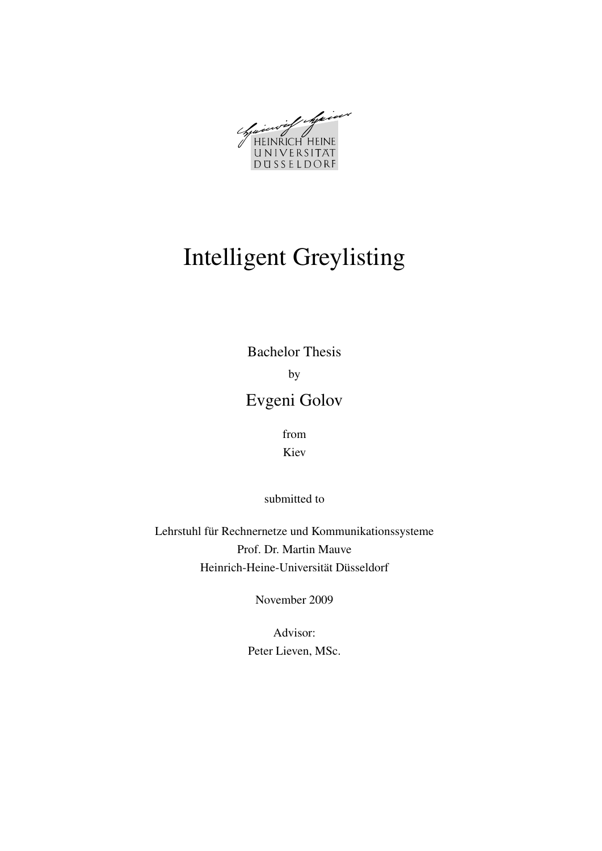Winter of Main UNIVERSITAT DUSSELDORF

# Intelligent Greylisting

Bachelor Thesis by Evgeni Golov

> from Kiev

submitted to

Lehrstuhl für Rechnernetze und Kommunikationssysteme Prof. Dr. Martin Mauve Heinrich-Heine-Universität Düsseldorf

November 2009

Advisor: Peter Lieven, MSc.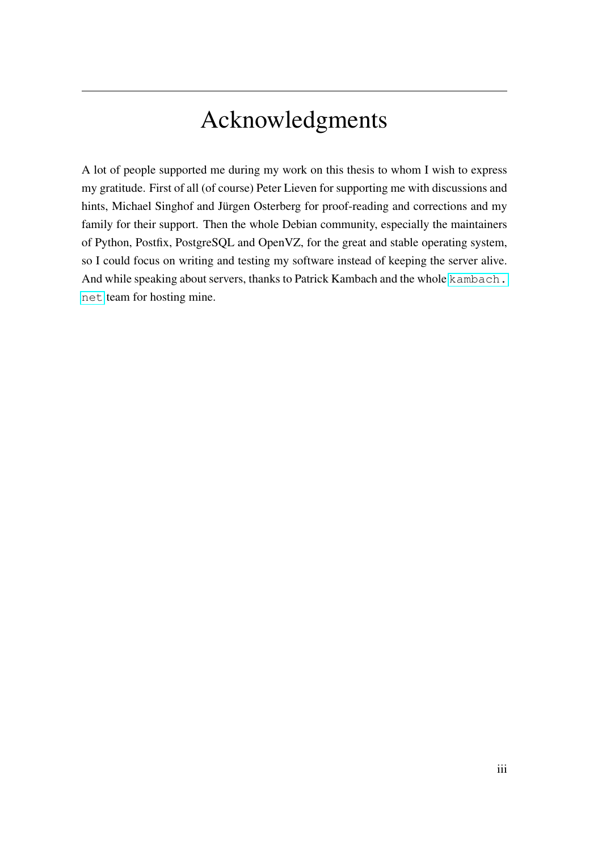# Acknowledgments

A lot of people supported me during my work on this thesis to whom I wish to express my gratitude. First of all (of course) Peter Lieven for supporting me with discussions and hints, Michael Singhof and Jürgen Osterberg for proof-reading and corrections and my family for their support. Then the whole Debian community, especially the maintainers of Python, Postfix, PostgreSQL and OpenVZ, for the great and stable operating system, so I could focus on writing and testing my software instead of keeping the server alive. And while speaking about servers, thanks to Patrick Kambach and the whole [kambach.](kambach.net) [net](kambach.net) team for hosting mine.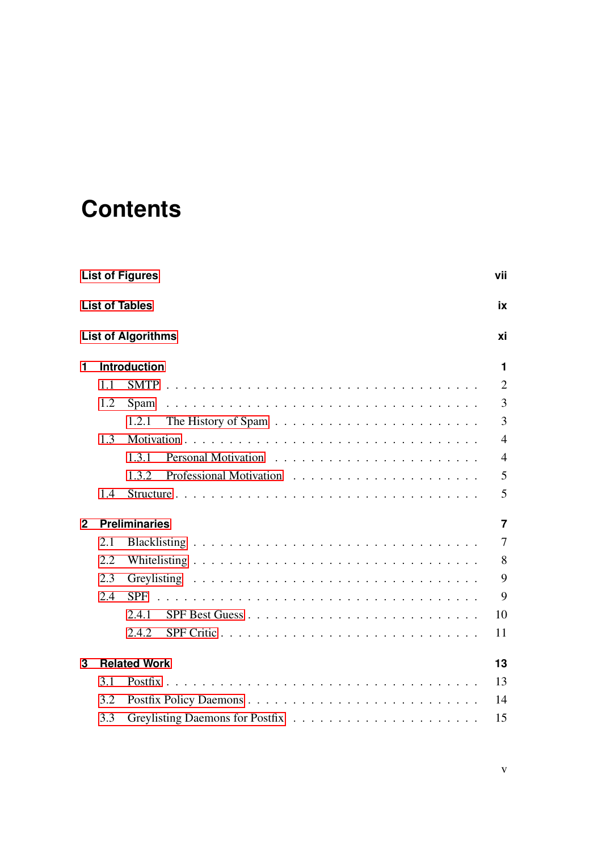# **Contents**

|              |     | <b>List of Figures</b>    | vii            |
|--------------|-----|---------------------------|----------------|
|              |     | <b>List of Tables</b>     | ix             |
|              |     | <b>List of Algorithms</b> | хi             |
| 1            |     | <b>Introduction</b>       | $\mathbf 1$    |
|              | 1.1 |                           | $\overline{2}$ |
|              | 1.2 |                           | $\overline{3}$ |
|              |     | 1.2.1                     | $\overline{3}$ |
|              | 1.3 |                           | $\overline{4}$ |
|              |     | 1.3.1                     | $\overline{4}$ |
|              |     | 1.3.2                     | 5              |
|              | 1.4 |                           | 5              |
| $\mathbf{2}$ |     | <b>Preliminaries</b>      | $\overline{7}$ |
|              | 2.1 |                           | $\overline{7}$ |
|              | 2.2 |                           | 8              |
|              | 2.3 |                           | 9              |
|              | 2.4 | <b>SPF</b>                | 9              |
|              |     | 2.4.1                     | 10             |
|              |     | 2.4.2<br>SPF Critic       | 11             |
| 3            |     | <b>Related Work</b>       | 13             |
|              | 3.1 |                           | 13             |
|              | 3.2 |                           | 14             |
|              | 3.3 |                           | 15             |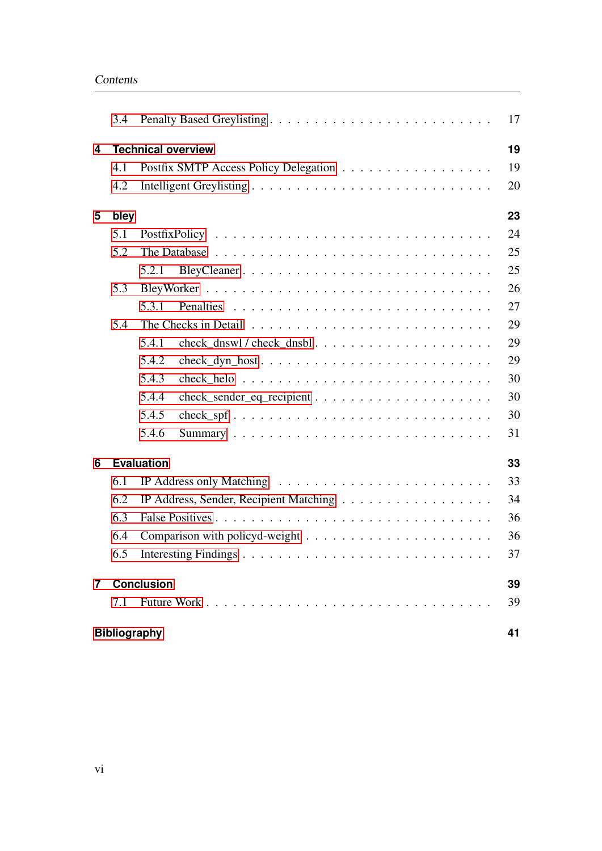|                | 3.4                       |                                                                                                   | 17 |
|----------------|---------------------------|---------------------------------------------------------------------------------------------------|----|
| 4              | <b>Technical overview</b> |                                                                                                   |    |
|                | 4.1                       |                                                                                                   | 19 |
|                | 4.2                       |                                                                                                   | 20 |
| 5              | bley                      |                                                                                                   | 23 |
|                | 5.1                       |                                                                                                   | 24 |
|                | 5.2                       |                                                                                                   | 25 |
|                |                           | 5.2.1                                                                                             | 25 |
|                | 5.3                       |                                                                                                   | 26 |
|                |                           | 5.3.1                                                                                             | 27 |
|                | 5.4                       |                                                                                                   | 29 |
|                |                           | 5.4.1                                                                                             | 29 |
|                |                           | 5.4.2                                                                                             | 29 |
|                |                           | 5.4.3                                                                                             | 30 |
|                |                           | 5.4.4                                                                                             | 30 |
|                |                           | 5.4.5<br>$check_spf \ldots \ldots \ldots \ldots \ldots \ldots \ldots \ldots \ldots \ldots \ldots$ | 30 |
|                |                           | 5.4.6                                                                                             | 31 |
| 6              |                           | <b>Evaluation</b>                                                                                 | 33 |
|                | 6.1                       | IP Address only Matching $\ldots \ldots \ldots \ldots \ldots \ldots \ldots \ldots$                | 33 |
|                | 6.2                       |                                                                                                   | 34 |
|                | 6.3                       |                                                                                                   | 36 |
|                | 6.4                       |                                                                                                   | 36 |
|                | 6.5                       |                                                                                                   | 37 |
| $\overline{7}$ |                           | <b>Conclusion</b>                                                                                 | 39 |
|                | 7.1                       |                                                                                                   | 39 |
|                | <b>Bibliography</b>       |                                                                                                   | 41 |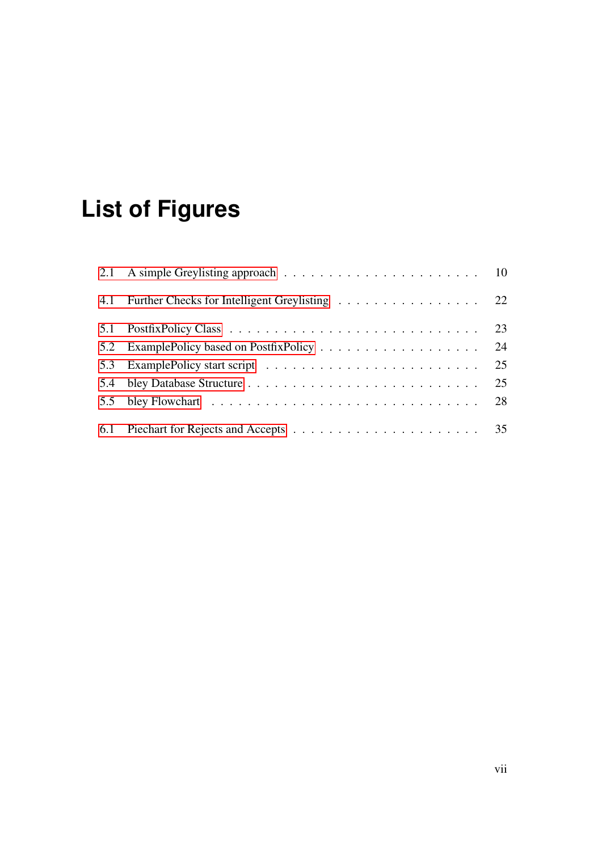# **List of Figures**

<span id="page-6-0"></span>

| 4.1 Further Checks for Intelligent Greylisting 22 |    |
|---------------------------------------------------|----|
|                                                   | 23 |
|                                                   | 24 |
|                                                   | 25 |
|                                                   | 25 |
|                                                   | 28 |
|                                                   |    |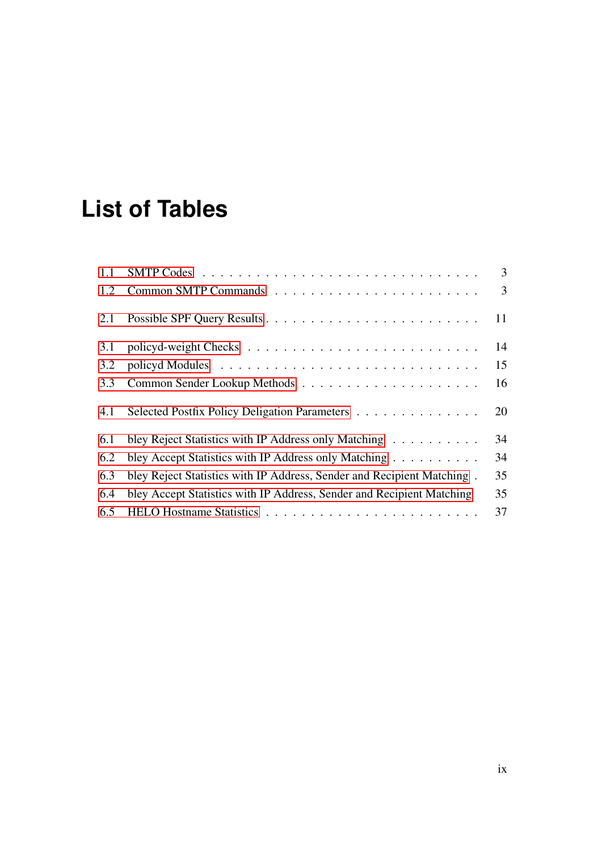# **List of Tables**

<span id="page-8-0"></span>

| 1.1 |                                                                        | $\overline{3}$ |
|-----|------------------------------------------------------------------------|----------------|
| 1.2 |                                                                        | $\overline{3}$ |
| 2.1 |                                                                        | 11             |
| 3.1 |                                                                        | 14             |
| 3.2 |                                                                        | 15             |
| 3.3 |                                                                        | 16             |
| 4.1 | Selected Postfix Policy Deligation Parameters                          | 20             |
| 6.1 | bley Reject Statistics with IP Address only Matching                   | 34             |
| 6.2 | bley Accept Statistics with IP Address only Matching                   | 34             |
| 6.3 | bley Reject Statistics with IP Address, Sender and Recipient Matching. | 35             |
| 6.4 | bley Accept Statistics with IP Address, Sender and Recipient Matching  | 35             |
| 6.5 |                                                                        | 37             |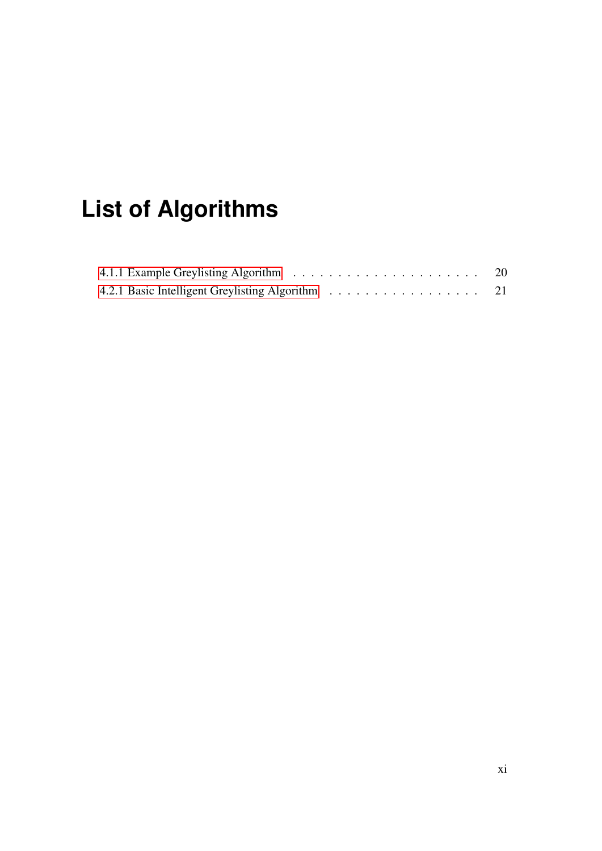# **List of Algorithms**

<span id="page-10-0"></span>

|                                                  | 20 |
|--------------------------------------------------|----|
| 4.2.1 Basic Intelligent Greylisting Algorithm 21 |    |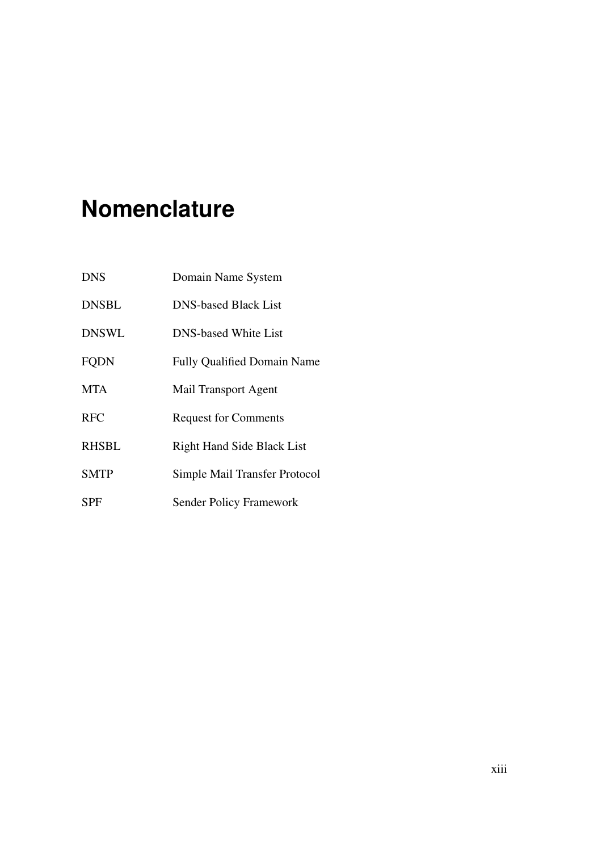# **Nomenclature**

| <b>DNS</b>   | Domain Name System                 |
|--------------|------------------------------------|
| <b>DNSBL</b> | <b>DNS-based Black List</b>        |
| <b>DNSWL</b> | <b>DNS-based White List</b>        |
| <b>FQDN</b>  | <b>Fully Qualified Domain Name</b> |
| <b>MTA</b>   | Mail Transport Agent               |
| <b>RFC</b>   | <b>Request for Comments</b>        |
| <b>RHSBL</b> | Right Hand Side Black List         |
| <b>SMTP</b>  | Simple Mail Transfer Protocol      |
| SPF          | <b>Sender Policy Framework</b>     |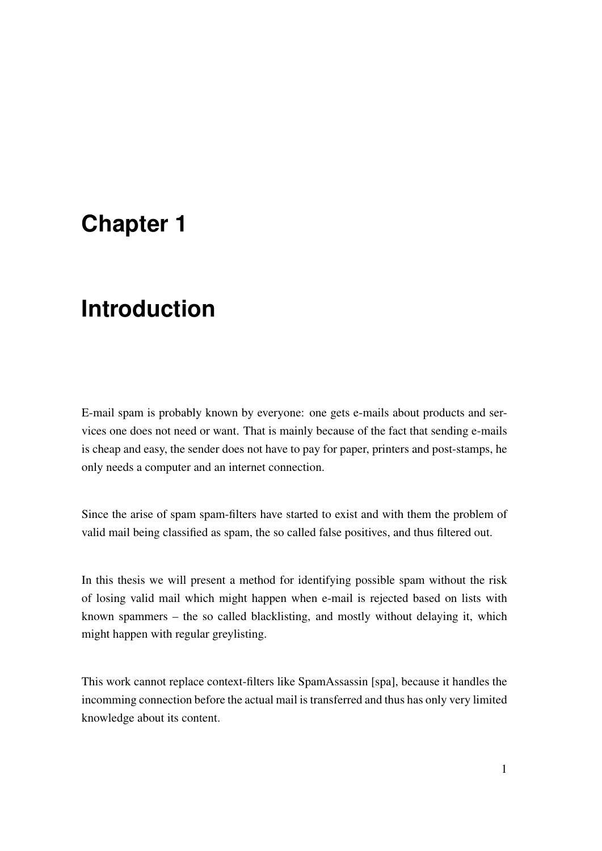## <span id="page-14-0"></span>**Chapter 1**

## **Introduction**

E-mail spam is probably known by everyone: one gets e-mails about products and services one does not need or want. That is mainly because of the fact that sending e-mails is cheap and easy, the sender does not have to pay for paper, printers and post-stamps, he only needs a computer and an internet connection.

Since the arise of spam spam-filters have started to exist and with them the problem of valid mail being classified as spam, the so called false positives, and thus filtered out.

In this thesis we will present a method for identifying possible spam without the risk of losing valid mail which might happen when e-mail is rejected based on lists with known spammers – the so called blacklisting, and mostly without delaying it, which might happen with regular greylisting.

This work cannot replace context-filters like SpamAssassin [spa], because it handles the incomming connection before the actual mail is transferred and thus has only very limited knowledge about its content.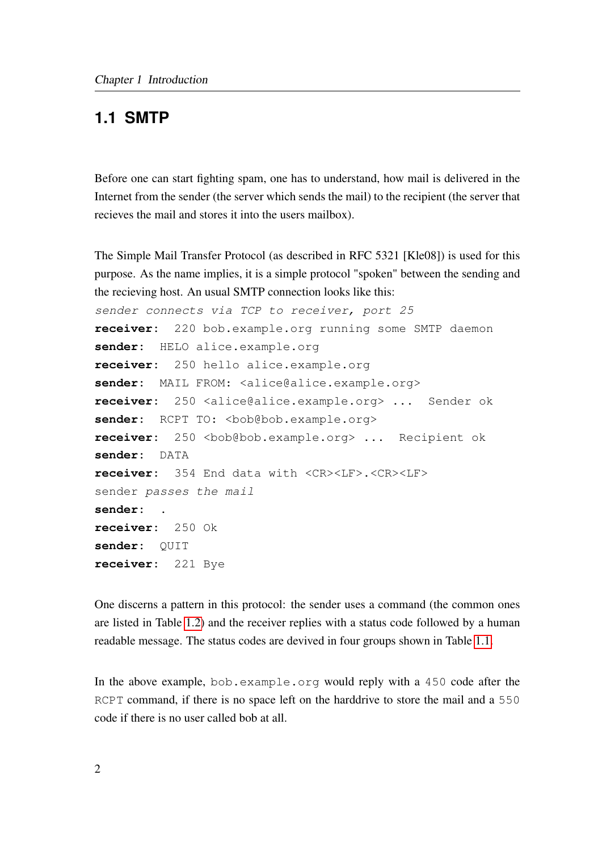### <span id="page-15-0"></span>**1.1 SMTP**

Before one can start fighting spam, one has to understand, how mail is delivered in the Internet from the sender (the server which sends the mail) to the recipient (the server that recieves the mail and stores it into the users mailbox).

The Simple Mail Transfer Protocol (as described in RFC 5321 [Kle08]) is used for this purpose. As the name implies, it is a simple protocol "spoken" between the sending and the recieving host. An usual SMTP connection looks like this:

```
sender connects via TCP to receiver, port 25
receiver: 220 bob.example.org running some SMTP daemon
sender: HELO alice.example.org
receiver: 250 hello alice.example.org
sender: MAIL FROM: <alice@alice.example.org>
receiver: 250 <alice@alice.example.org> ... Sender ok
sender: RCPT TO: <bob@bob.example.org>
receiver: 250 <br/>bob@bob.example.org> ... Recipient ok
sender: DATA
receiver: 354 End data with <CR><LF>.<CR><LF>
sender passes the mail
sender: .
receiver: 250 Ok
sender: QUIT
receiver: 221 Bye
```
One discerns a pattern in this protocol: the sender uses a command (the common ones are listed in Table [1.2\)](#page-16-3) and the receiver replies with a status code followed by a human readable message. The status codes are devived in four groups shown in Table [1.1.](#page-16-2)

In the above example, bob.example.org would reply with a 450 code after the RCPT command, if there is no space left on the harddrive to store the mail and a 550 code if there is no user called bob at all.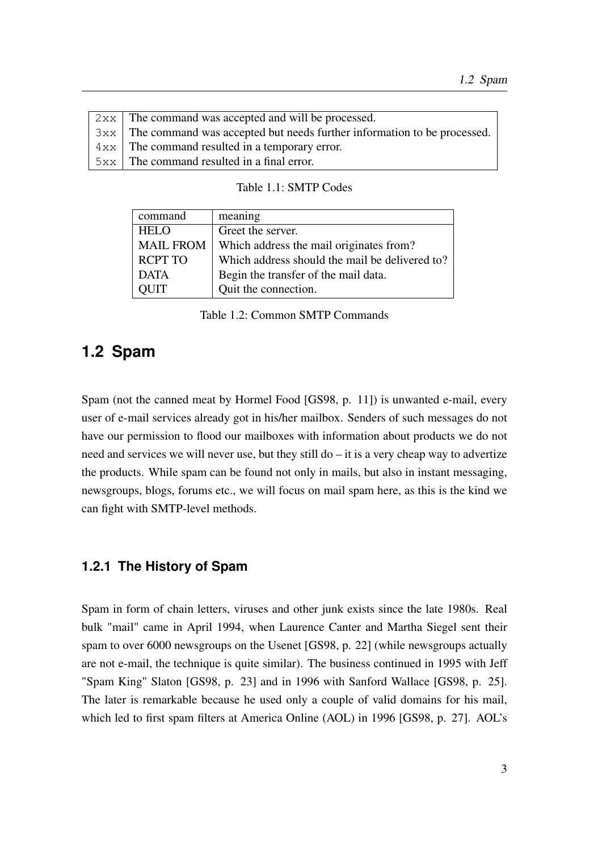| $2xx$ The command was accepted and will be processed.                               |
|-------------------------------------------------------------------------------------|
| $3x \times$ The command was accepted but needs further information to be processed. |
| $4xx$ The command resulted in a temporary error.                                    |
| $5xx$ The command resulted in a final error.                                        |
|                                                                                     |

<span id="page-16-3"></span><span id="page-16-2"></span>Table 1.1: SMTP Codes

| command          | meaning                                        |
|------------------|------------------------------------------------|
| <b>HELO</b>      | Greet the server.                              |
| <b>MAIL FROM</b> | Which address the mail originates from?        |
| <b>RCPT TO</b>   | Which address should the mail be delivered to? |
| <b>DATA</b>      | Begin the transfer of the mail data.           |
| TIUC             | Quit the connection.                           |

Table 1.2: Common SMTP Commands

## <span id="page-16-0"></span>**1.2 Spam**

Spam (not the canned meat by Hormel Food [GS98, p. 11]) is unwanted e-mail, every user of e-mail services already got in his/her mailbox. Senders of such messages do not have our permission to flood our mailboxes with information about products we do not need and services we will never use, but they still do – it is a very cheap way to advertize the products. While spam can be found not only in mails, but also in instant messaging, newsgroups, blogs, forums etc., we will focus on mail spam here, as this is the kind we can fight with SMTP-level methods.

#### <span id="page-16-1"></span>**1.2.1 The History of Spam**

Spam in form of chain letters, viruses and other junk exists since the late 1980s. Real bulk "mail" came in April 1994, when Laurence Canter and Martha Siegel sent their spam to over 6000 newsgroups on the Usenet [GS98, p. 22] (while newsgroups actually are not e-mail, the technique is quite similar). The business continued in 1995 with Jeff "Spam King" Slaton [GS98, p. 23] and in 1996 with Sanford Wallace [GS98, p. 25]. The later is remarkable because he used only a couple of valid domains for his mail, which led to first spam filters at America Online (AOL) in 1996 [GS98, p. 27]. AOL's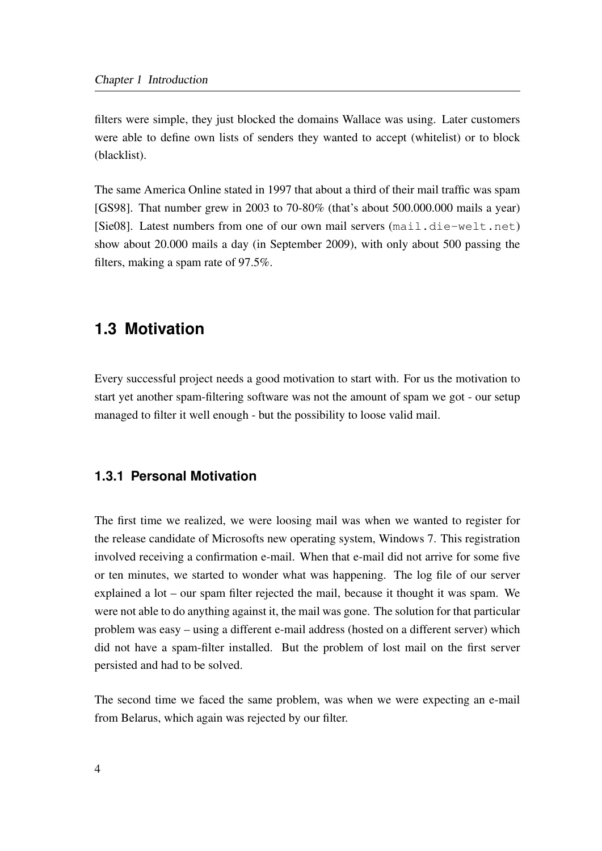filters were simple, they just blocked the domains Wallace was using. Later customers were able to define own lists of senders they wanted to accept (whitelist) or to block (blacklist).

The same America Online stated in 1997 that about a third of their mail traffic was spam [GS98]. That number grew in 2003 to 70-80% (that's about 500.000.000 mails a year) [Sie08]. Latest numbers from one of our own mail servers (mail.die-welt.net) show about 20.000 mails a day (in September 2009), with only about 500 passing the filters, making a spam rate of 97.5%.

### <span id="page-17-0"></span>**1.3 Motivation**

Every successful project needs a good motivation to start with. For us the motivation to start yet another spam-filtering software was not the amount of spam we got - our setup managed to filter it well enough - but the possibility to loose valid mail.

#### <span id="page-17-1"></span>**1.3.1 Personal Motivation**

The first time we realized, we were loosing mail was when we wanted to register for the release candidate of Microsofts new operating system, Windows 7. This registration involved receiving a confirmation e-mail. When that e-mail did not arrive for some five or ten minutes, we started to wonder what was happening. The log file of our server explained a lot – our spam filter rejected the mail, because it thought it was spam. We were not able to do anything against it, the mail was gone. The solution for that particular problem was easy – using a different e-mail address (hosted on a different server) which did not have a spam-filter installed. But the problem of lost mail on the first server persisted and had to be solved.

The second time we faced the same problem, was when we were expecting an e-mail from Belarus, which again was rejected by our filter.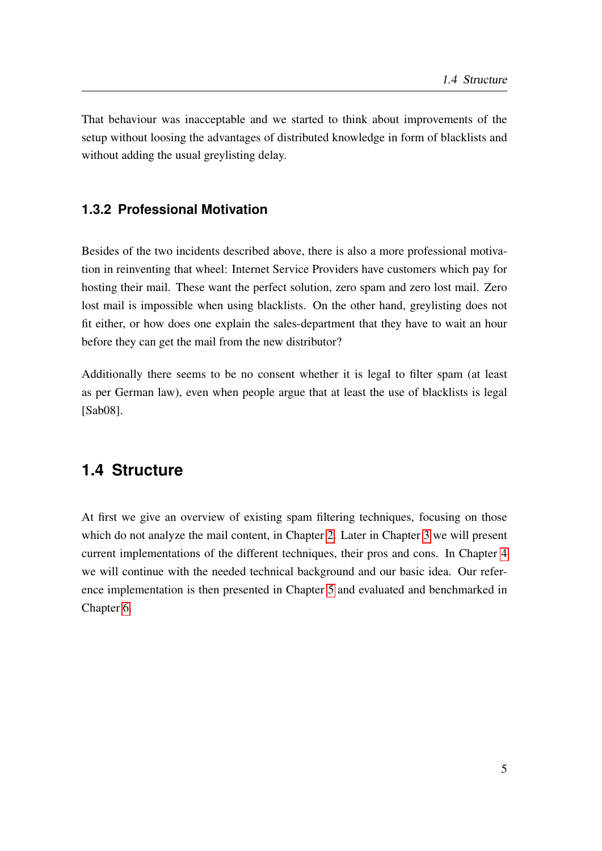That behaviour was inacceptable and we started to think about improvements of the setup without loosing the advantages of distributed knowledge in form of blacklists and without adding the usual greylisting delay.

### <span id="page-18-0"></span>**1.3.2 Professional Motivation**

Besides of the two incidents described above, there is also a more professional motivation in reinventing that wheel: Internet Service Providers have customers which pay for hosting their mail. These want the perfect solution, zero spam and zero lost mail. Zero lost mail is impossible when using blacklists. On the other hand, greylisting does not fit either, or how does one explain the sales-department that they have to wait an hour before they can get the mail from the new distributor?

Additionally there seems to be no consent whether it is legal to filter spam (at least as per German law), even when people argue that at least the use of blacklists is legal [Sab08].

### <span id="page-18-1"></span>**1.4 Structure**

At first we give an overview of existing spam filtering techniques, focusing on those which do not analyze the mail content, in Chapter [2.](#page-20-0) Later in Chapter [3](#page-26-0) we will present current implementations of the different techniques, their pros and cons. In Chapter [4](#page-32-0) we will continue with the needed technical background and our basic idea. Our reference implementation is then presented in Chapter [5](#page-36-0) and evaluated and benchmarked in Chapter [6.](#page-46-0)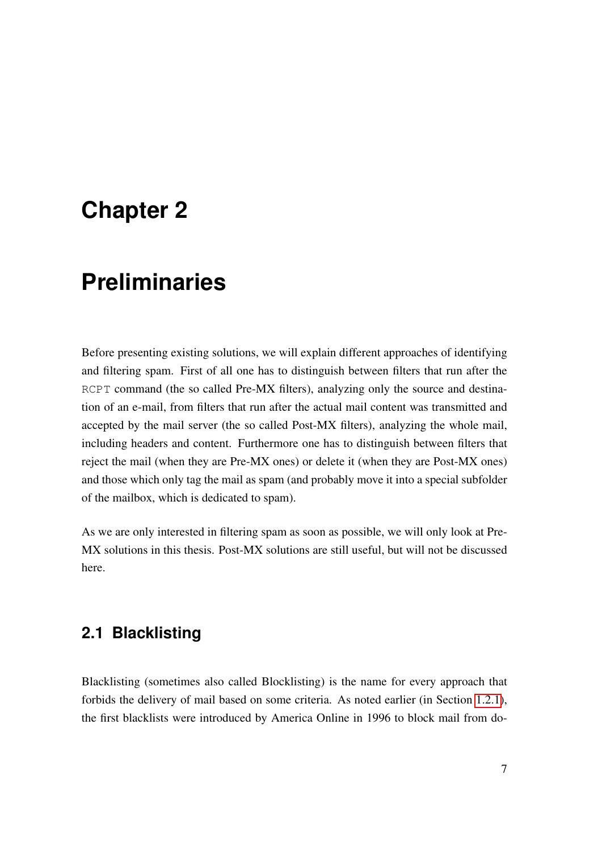## <span id="page-20-0"></span>**Chapter 2**

# **Preliminaries**

Before presenting existing solutions, we will explain different approaches of identifying and filtering spam. First of all one has to distinguish between filters that run after the RCPT command (the so called Pre-MX filters), analyzing only the source and destination of an e-mail, from filters that run after the actual mail content was transmitted and accepted by the mail server (the so called Post-MX filters), analyzing the whole mail, including headers and content. Furthermore one has to distinguish between filters that reject the mail (when they are Pre-MX ones) or delete it (when they are Post-MX ones) and those which only tag the mail as spam (and probably move it into a special subfolder of the mailbox, which is dedicated to spam).

As we are only interested in filtering spam as soon as possible, we will only look at Pre-MX solutions in this thesis. Post-MX solutions are still useful, but will not be discussed here.

### <span id="page-20-1"></span>**2.1 Blacklisting**

Blacklisting (sometimes also called Blocklisting) is the name for every approach that forbids the delivery of mail based on some criteria. As noted earlier (in Section [1.2.1\)](#page-16-1), the first blacklists were introduced by America Online in 1996 to block mail from do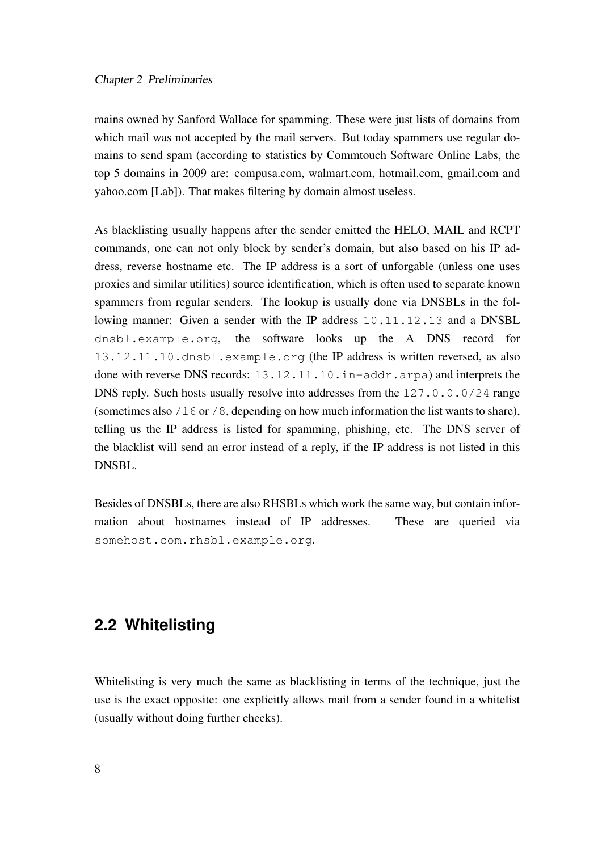mains owned by Sanford Wallace for spamming. These were just lists of domains from which mail was not accepted by the mail servers. But today spammers use regular domains to send spam (according to statistics by Commtouch Software Online Labs, the top 5 domains in 2009 are: compusa.com, walmart.com, hotmail.com, gmail.com and yahoo.com [Lab]). That makes filtering by domain almost useless.

As blacklisting usually happens after the sender emitted the HELO, MAIL and RCPT commands, one can not only block by sender's domain, but also based on his IP address, reverse hostname etc. The IP address is a sort of unforgable (unless one uses proxies and similar utilities) source identification, which is often used to separate known spammers from regular senders. The lookup is usually done via DNSBLs in the following manner: Given a sender with the IP address 10.11.12.13 and a DNSBL dnsbl.example.org, the software looks up the A DNS record for 13.12.11.10.dnsbl.example.org (the IP address is written reversed, as also done with reverse DNS records: 13.12.11.10.in-addr.arpa) and interprets the DNS reply. Such hosts usually resolve into addresses from the  $127.0.0.0/24$  range (sometimes also /16 or /8, depending on how much information the list wants to share), telling us the IP address is listed for spamming, phishing, etc. The DNS server of the blacklist will send an error instead of a reply, if the IP address is not listed in this DNSBL.

Besides of DNSBLs, there are also RHSBLs which work the same way, but contain information about hostnames instead of IP addresses. These are queried via somehost.com.rhsbl.example.org.

### <span id="page-21-0"></span>**2.2 Whitelisting**

Whitelisting is very much the same as blacklisting in terms of the technique, just the use is the exact opposite: one explicitly allows mail from a sender found in a whitelist (usually without doing further checks).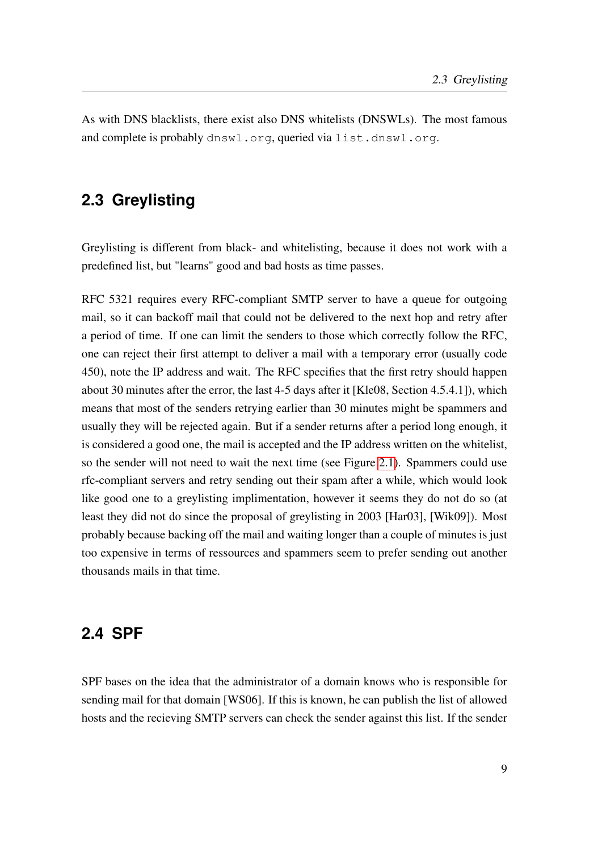As with DNS blacklists, there exist also DNS whitelists (DNSWLs). The most famous and complete is probably dnswl.org, queried via list.dnswl.org.

### <span id="page-22-0"></span>**2.3 Greylisting**

Greylisting is different from black- and whitelisting, because it does not work with a predefined list, but "learns" good and bad hosts as time passes.

RFC 5321 requires every RFC-compliant SMTP server to have a queue for outgoing mail, so it can backoff mail that could not be delivered to the next hop and retry after a period of time. If one can limit the senders to those which correctly follow the RFC, one can reject their first attempt to deliver a mail with a temporary error (usually code 450), note the IP address and wait. The RFC specifies that the first retry should happen about 30 minutes after the error, the last 4-5 days after it [Kle08, Section 4.5.4.1]), which means that most of the senders retrying earlier than 30 minutes might be spammers and usually they will be rejected again. But if a sender returns after a period long enough, it is considered a good one, the mail is accepted and the IP address written on the whitelist, so the sender will not need to wait the next time (see Figure [2.1\)](#page-23-1). Spammers could use rfc-compliant servers and retry sending out their spam after a while, which would look like good one to a greylisting implimentation, however it seems they do not do so (at least they did not do since the proposal of greylisting in 2003 [Har03], [Wik09]). Most probably because backing off the mail and waiting longer than a couple of minutes is just too expensive in terms of ressources and spammers seem to prefer sending out another thousands mails in that time.

### <span id="page-22-1"></span>**2.4 SPF**

SPF bases on the idea that the administrator of a domain knows who is responsible for sending mail for that domain [WS06]. If this is known, he can publish the list of allowed hosts and the recieving SMTP servers can check the sender against this list. If the sender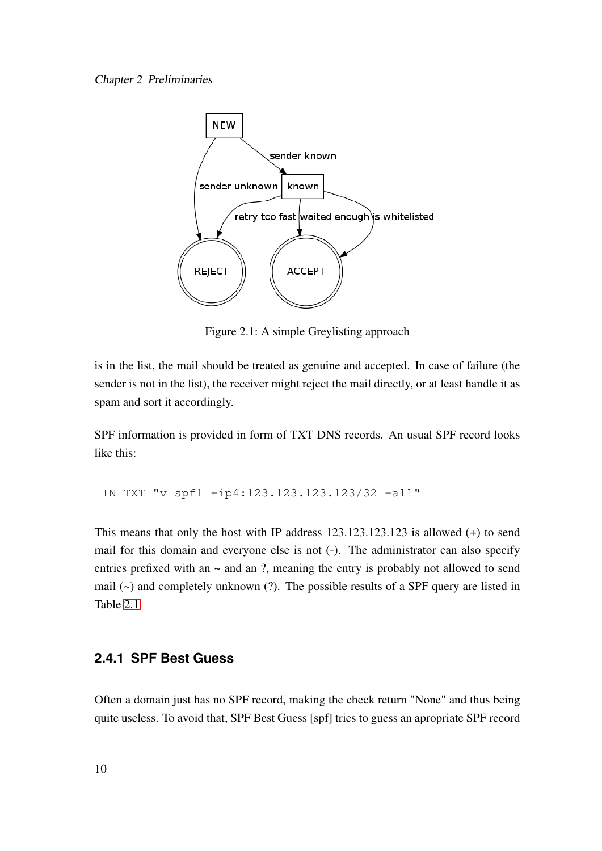

<span id="page-23-1"></span>Figure 2.1: A simple Greylisting approach

is in the list, the mail should be treated as genuine and accepted. In case of failure (the sender is not in the list), the receiver might reject the mail directly, or at least handle it as spam and sort it accordingly.

SPF information is provided in form of TXT DNS records. An usual SPF record looks like this:

IN TXT "v=spf1 +ip4:123.123.123.123/32 -all"

This means that only the host with IP address 123.123.123.123 is allowed (+) to send mail for this domain and everyone else is not (-). The administrator can also specify entries prefixed with an  $\sim$  and an ?, meaning the entry is probably not allowed to send mail (~) and completely unknown (?). The possible results of a SPF query are listed in Table [2.1.](#page-24-1)

#### <span id="page-23-0"></span>**2.4.1 SPF Best Guess**

Often a domain just has no SPF record, making the check return "None" and thus being quite useless. To avoid that, SPF Best Guess [spf] tries to guess an apropriate SPF record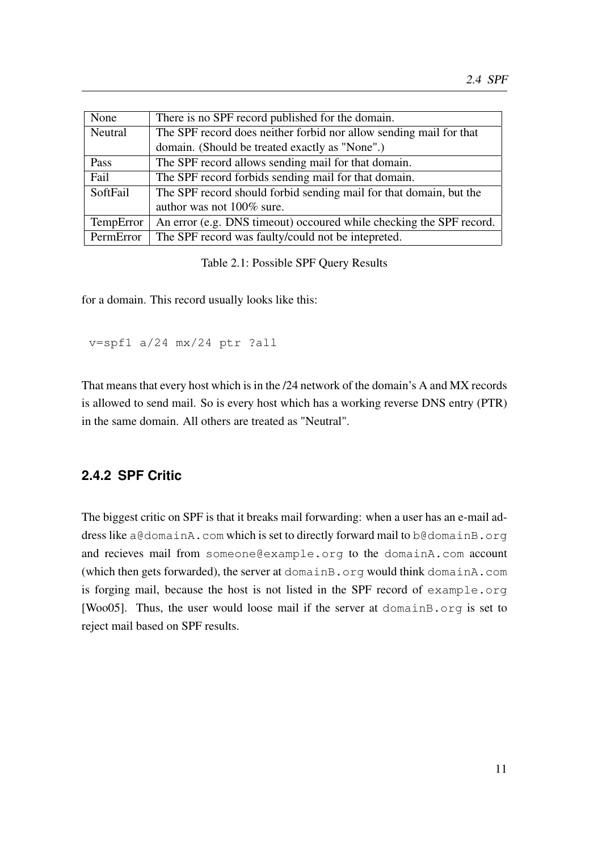| None                                                                          | There is no SPF record published for the domain.                    |
|-------------------------------------------------------------------------------|---------------------------------------------------------------------|
| The SPF record does neither forbid nor allow sending mail for that<br>Neutral |                                                                     |
|                                                                               | domain. (Should be treated exactly as "None".)                      |
| Pass                                                                          | The SPF record allows sending mail for that domain.                 |
| Fail                                                                          | The SPF record forbids sending mail for that domain.                |
| SoftFail                                                                      | The SPF record should forbid sending mail for that domain, but the  |
|                                                                               | author was not 100% sure.                                           |
| TempError                                                                     | An error (e.g. DNS timeout) occoured while checking the SPF record. |
| PermError                                                                     | The SPF record was faulty/could not be intepreted.                  |

<span id="page-24-1"></span>Table 2.1: Possible SPF Query Results

for a domain. This record usually looks like this:

```
v=spf1 a/24 mx/24 ptr ?all
```
That means that every host which is in the /24 network of the domain's A and MX records is allowed to send mail. So is every host which has a working reverse DNS entry (PTR) in the same domain. All others are treated as "Neutral".

### <span id="page-24-0"></span>**2.4.2 SPF Critic**

The biggest critic on SPF is that it breaks mail forwarding: when a user has an e-mail address like a@domainA.com which is set to directly forward mail to b@domainB.org and recieves mail from someone@example.org to the domainA.com account (which then gets forwarded), the server at domainB.org would think domainA.com is forging mail, because the host is not listed in the SPF record of example.org [Woo05]. Thus, the user would loose mail if the server at domainB.org is set to reject mail based on SPF results.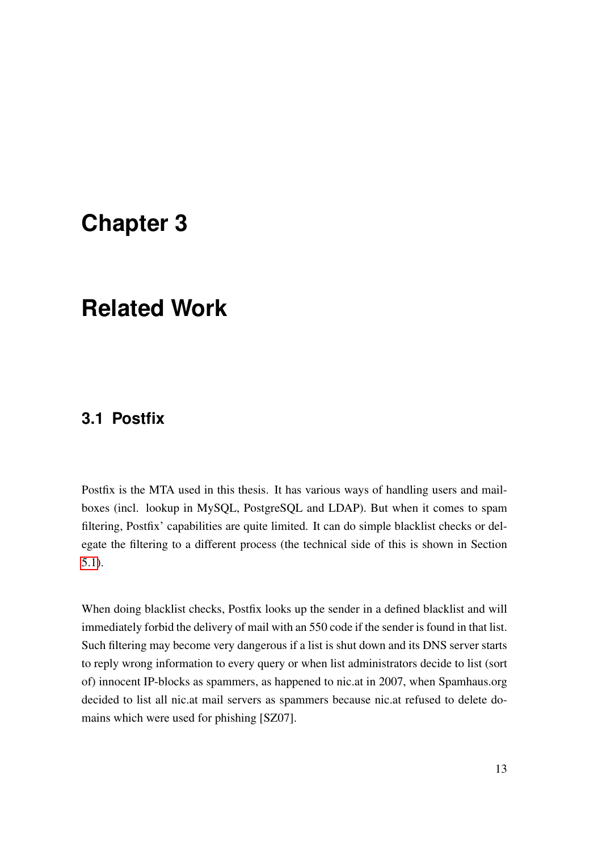## <span id="page-26-0"></span>**Chapter 3**

## **Related Work**

### <span id="page-26-1"></span>**3.1 Postfix**

Postfix is the MTA used in this thesis. It has various ways of handling users and mailboxes (incl. lookup in MySQL, PostgreSQL and LDAP). But when it comes to spam filtering, Postfix' capabilities are quite limited. It can do simple blacklist checks or delegate the filtering to a different process (the technical side of this is shown in Section [5.1\)](#page-37-0).

When doing blacklist checks, Postfix looks up the sender in a defined blacklist and will immediately forbid the delivery of mail with an 550 code if the sender is found in that list. Such filtering may become very dangerous if a list is shut down and its DNS server starts to reply wrong information to every query or when list administrators decide to list (sort of) innocent IP-blocks as spammers, as happened to nic.at in 2007, when Spamhaus.org decided to list all nic.at mail servers as spammers because nic.at refused to delete domains which were used for phishing [SZ07].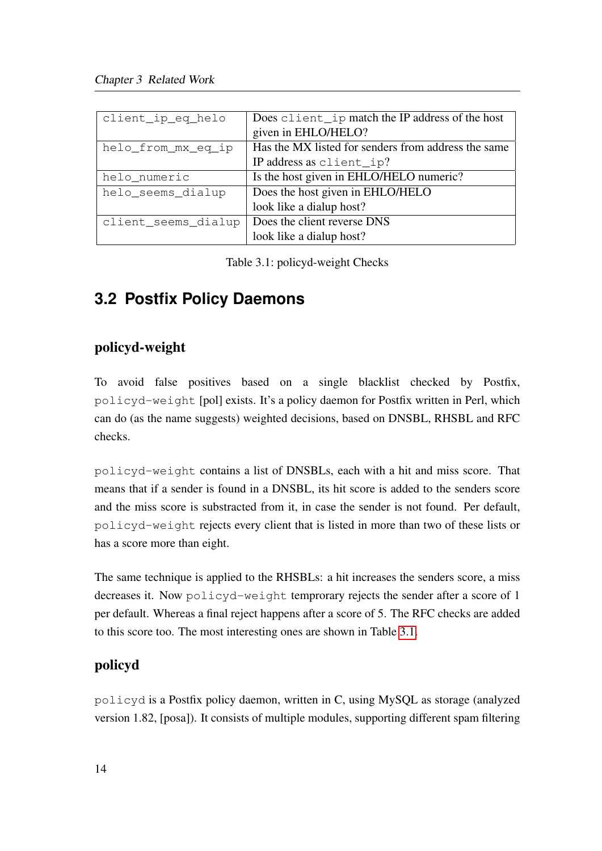| client_ip_eq_helo   | Does client _ip match the IP address of the host    |
|---------------------|-----------------------------------------------------|
|                     | given in EHLO/HELO?                                 |
| helo_from_mx_eq_ip  | Has the MX listed for senders from address the same |
|                     | IP address as client_ip?                            |
| helo_numeric        | Is the host given in EHLO/HELO numeric?             |
| helo_seems_dialup   | Does the host given in EHLO/HELO                    |
|                     | look like a dialup host?                            |
| client_seems_dialup | Does the client reverse DNS                         |
|                     | look like a dialup host?                            |

<span id="page-27-1"></span>Table 3.1: policyd-weight Checks

## <span id="page-27-0"></span>**3.2 Postfix Policy Daemons**

### policyd-weight

To avoid false positives based on a single blacklist checked by Postfix, policyd-weight [pol] exists. It's a policy daemon for Postfix written in Perl, which can do (as the name suggests) weighted decisions, based on DNSBL, RHSBL and RFC checks.

policyd-weight contains a list of DNSBLs, each with a hit and miss score. That means that if a sender is found in a DNSBL, its hit score is added to the senders score and the miss score is substracted from it, in case the sender is not found. Per default, policyd-weight rejects every client that is listed in more than two of these lists or has a score more than eight.

The same technique is applied to the RHSBLs: a hit increases the senders score, a miss decreases it. Now policyd-weight temprorary rejects the sender after a score of 1 per default. Whereas a final reject happens after a score of 5. The RFC checks are added to this score too. The most interesting ones are shown in Table [3.1.](#page-27-1)

### policyd

policyd is a Postfix policy daemon, written in C, using MySQL as storage (analyzed version 1.82, [posa]). It consists of multiple modules, supporting different spam filtering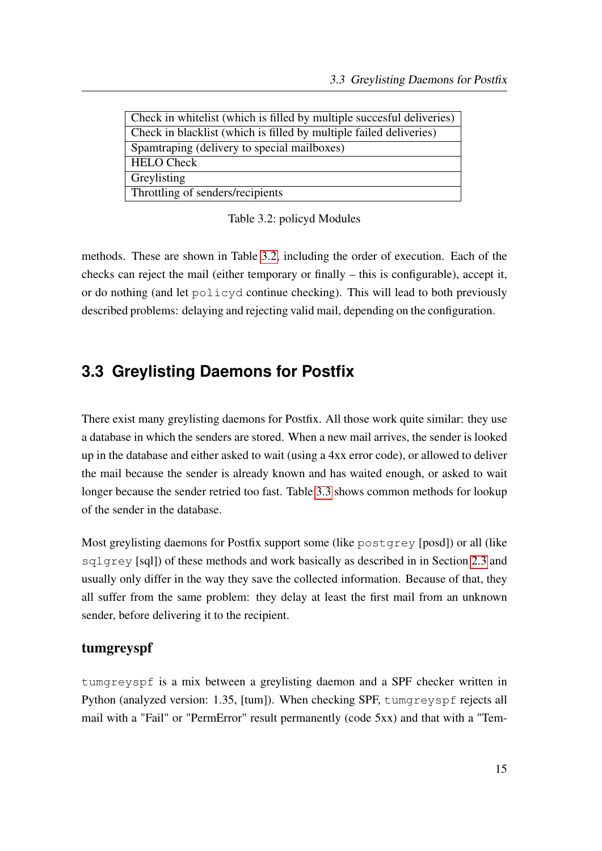| Check in whitelist (which is filled by multiple succesful deliveries) |  |  |
|-----------------------------------------------------------------------|--|--|
| Check in blacklist (which is filled by multiple failed deliveries)    |  |  |
| Spamtraping (delivery to special mailboxes)                           |  |  |
| <b>HELO</b> Check                                                     |  |  |
| Greylisting                                                           |  |  |
| Throttling of senders/recipients                                      |  |  |
|                                                                       |  |  |

<span id="page-28-1"></span>Table 3.2: policyd Modules

methods. These are shown in Table [3.2,](#page-27-1) including the order of execution. Each of the checks can reject the mail (either temporary or finally – this is configurable), accept it, or do nothing (and let policyd continue checking). This will lead to both previously described problems: delaying and rejecting valid mail, depending on the configuration.

### <span id="page-28-0"></span>**3.3 Greylisting Daemons for Postfix**

There exist many greylisting daemons for Postfix. All those work quite similar: they use a database in which the senders are stored. When a new mail arrives, the sender is looked up in the database and either asked to wait (using a 4xx error code), or allowed to deliver the mail because the sender is already known and has waited enough, or asked to wait longer because the sender retried too fast. Table [3.3](#page-29-0) shows common methods for lookup of the sender in the database.

Most greylisting daemons for Postfix support some (like postgrey [posd]) or all (like sqlgrey [sql]) of these methods and work basically as described in in Section [2.3](#page-22-0) and usually only differ in the way they save the collected information. Because of that, they all suffer from the same problem: they delay at least the first mail from an unknown sender, before delivering it to the recipient.

#### tumgreyspf

tumgreyspf is a mix between a greylisting daemon and a SPF checker written in Python (analyzed version: 1.35, [tum]). When checking SPF, tumgreyspf rejects all mail with a "Fail" or "PermError" result permanently (code 5xx) and that with a "Tem-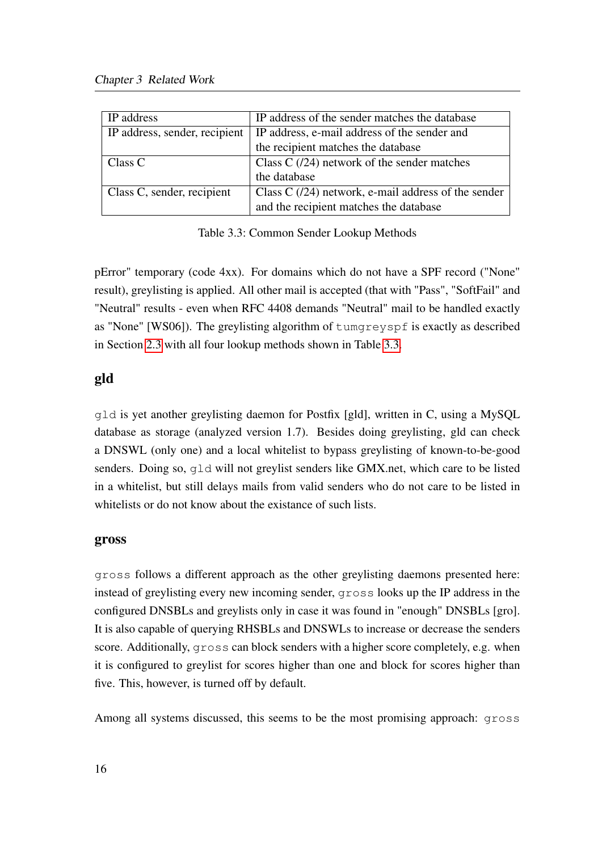| IP address                    | IP address of the sender matches the database        |
|-------------------------------|------------------------------------------------------|
| IP address, sender, recipient | IP address, e-mail address of the sender and         |
|                               | the recipient matches the database                   |
| Class C                       | Class C $(24)$ network of the sender matches         |
|                               | the database                                         |
| Class C, sender, recipient    | Class C $(24)$ network, e-mail address of the sender |
|                               | and the recipient matches the database               |

<span id="page-29-0"></span>Table 3.3: Common Sender Lookup Methods

pError" temporary (code 4xx). For domains which do not have a SPF record ("None" result), greylisting is applied. All other mail is accepted (that with "Pass", "SoftFail" and "Neutral" results - even when RFC 4408 demands "Neutral" mail to be handled exactly as "None" [WS06]). The greylisting algorithm of tumgreyspf is exactly as described in Section [2.3](#page-22-0) with all four lookup methods shown in Table [3.3.](#page-29-0)

### gld

gld is yet another greylisting daemon for Postfix [gld], written in C, using a MySQL database as storage (analyzed version 1.7). Besides doing greylisting, gld can check a DNSWL (only one) and a local whitelist to bypass greylisting of known-to-be-good senders. Doing so, gld will not greylist senders like GMX.net, which care to be listed in a whitelist, but still delays mails from valid senders who do not care to be listed in whitelists or do not know about the existance of such lists.

#### gross

gross follows a different approach as the other greylisting daemons presented here: instead of greylisting every new incoming sender, gross looks up the IP address in the configured DNSBLs and greylists only in case it was found in "enough" DNSBLs [gro]. It is also capable of querying RHSBLs and DNSWLs to increase or decrease the senders score. Additionally, gross can block senders with a higher score completely, e.g. when it is configured to greylist for scores higher than one and block for scores higher than five. This, however, is turned off by default.

Among all systems discussed, this seems to be the most promising approach: gross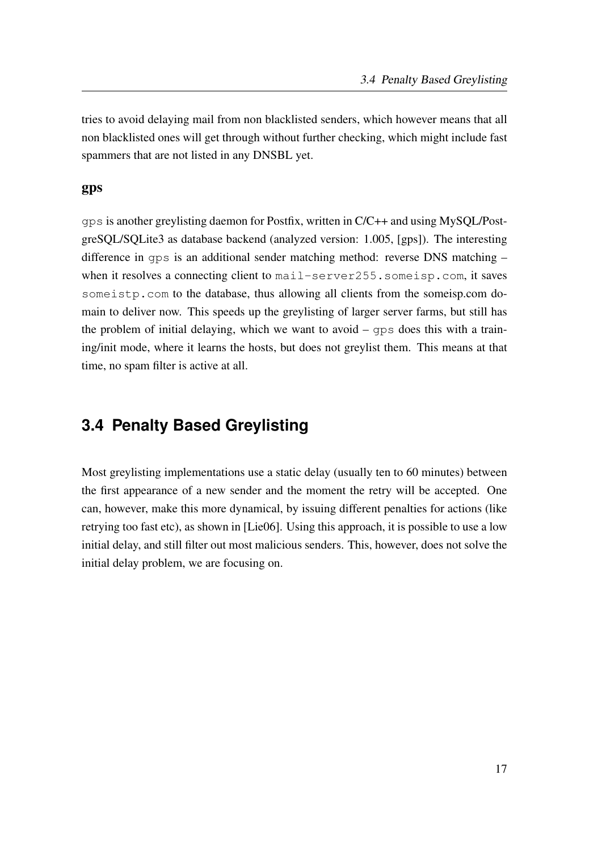tries to avoid delaying mail from non blacklisted senders, which however means that all non blacklisted ones will get through without further checking, which might include fast spammers that are not listed in any DNSBL yet.

#### gps

gps is another greylisting daemon for Postfix, written in C/C++ and using MySQL/PostgreSQL/SQLite3 as database backend (analyzed version: 1.005, [gps]). The interesting difference in gps is an additional sender matching method: reverse DNS matching – when it resolves a connecting client to mail-server255.someisp.com, it saves some istp.com to the database, thus allowing all clients from the someisp.com domain to deliver now. This speeds up the greylisting of larger server farms, but still has the problem of initial delaying, which we want to avoid – gps does this with a training/init mode, where it learns the hosts, but does not greylist them. This means at that time, no spam filter is active at all.

### <span id="page-30-0"></span>**3.4 Penalty Based Greylisting**

Most greylisting implementations use a static delay (usually ten to 60 minutes) between the first appearance of a new sender and the moment the retry will be accepted. One can, however, make this more dynamical, by issuing different penalties for actions (like retrying too fast etc), as shown in [Lie06]. Using this approach, it is possible to use a low initial delay, and still filter out most malicious senders. This, however, does not solve the initial delay problem, we are focusing on.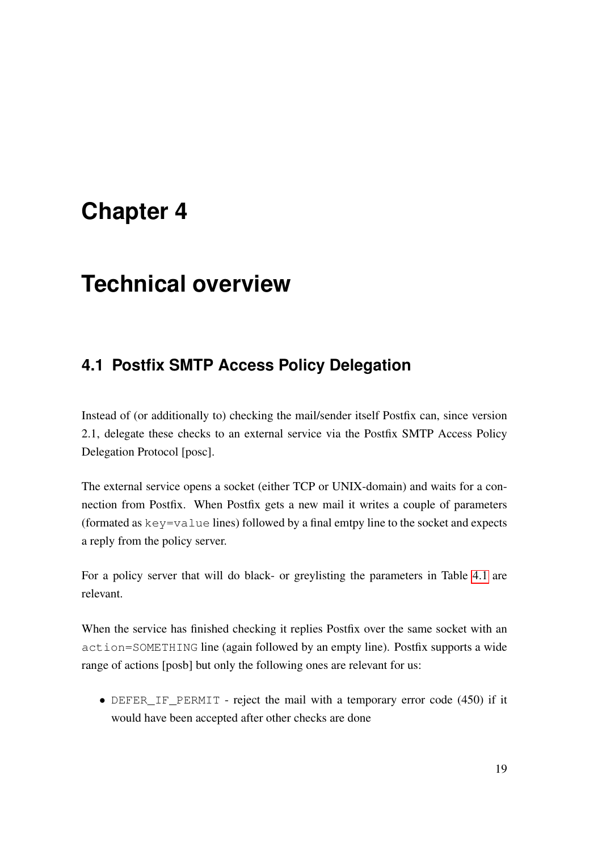## <span id="page-32-0"></span>**Chapter 4**

## **Technical overview**

### <span id="page-32-1"></span>**4.1 Postfix SMTP Access Policy Delegation**

Instead of (or additionally to) checking the mail/sender itself Postfix can, since version 2.1, delegate these checks to an external service via the Postfix SMTP Access Policy Delegation Protocol [posc].

The external service opens a socket (either TCP or UNIX-domain) and waits for a connection from Postfix. When Postfix gets a new mail it writes a couple of parameters (formated as key=value lines) followed by a final emtpy line to the socket and expects a reply from the policy server.

For a policy server that will do black- or greylisting the parameters in Table [4.1](#page-32-1) are relevant.

When the service has finished checking it replies Postfix over the same socket with an action=SOMETHING line (again followed by an empty line). Postfix supports a wide range of actions [posb] but only the following ones are relevant for us:

• DEFER\_IF\_PERMIT - reject the mail with a temporary error code (450) if it would have been accepted after other checks are done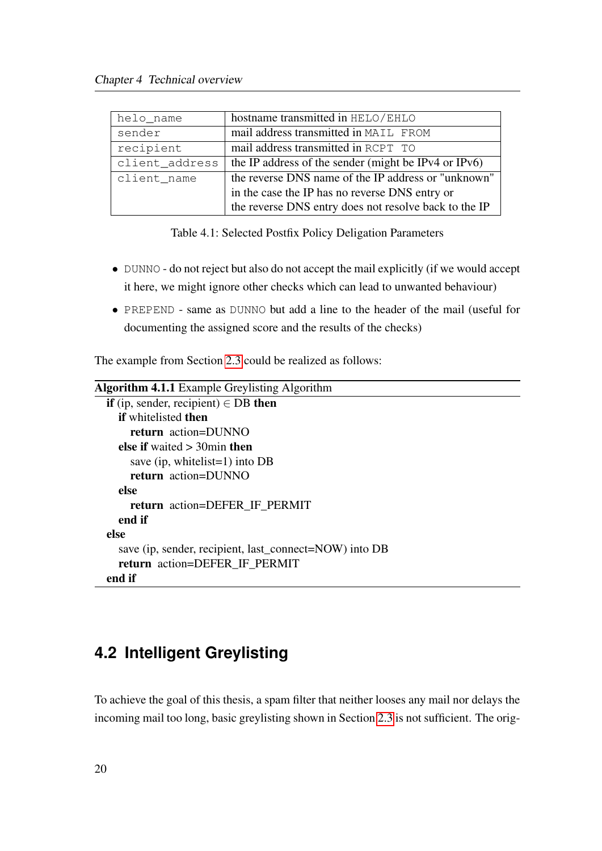| helo_name      | hostname transmitted in HELO/EHLO                     |
|----------------|-------------------------------------------------------|
| sender         | mail address transmitted in MAIL FROM                 |
| recipient      | mail address transmitted in RCPT TO                   |
| client_address | the IP address of the sender (might be IPv4 or IPv6)  |
| client_name    | the reverse DNS name of the IP address or "unknown"   |
|                | in the case the IP has no reverse DNS entry or        |
|                | the reverse DNS entry does not resolve back to the IP |

<span id="page-33-1"></span>Table 4.1: Selected Postfix Policy Deligation Parameters

- DUNNO do not reject but also do not accept the mail explicitly (if we would accept it here, we might ignore other checks which can lead to unwanted behaviour)
- PREPEND same as DUNNO but add a line to the header of the mail (useful for documenting the assigned score and the results of the checks)

The example from Section [2.3](#page-22-0) could be realized as follows:

```
Algorithm 4.1.1 Example Greylisting Algorithm
  if (ip, sender, recipient) \in DB then
    if whitelisted then
      return action=DUNNO
    else if waited > 30min then
      save (ip, whitelist=1) into DB
      return action=DUNNO
    else
      return action=DEFER_IF_PERMIT
    end if
  else
    save (ip, sender, recipient, last_connect=NOW) into DB
    return action=DEFER_IF_PERMIT
  end if
```
### <span id="page-33-0"></span>**4.2 Intelligent Greylisting**

To achieve the goal of this thesis, a spam filter that neither looses any mail nor delays the incoming mail too long, basic greylisting shown in Section [2.3](#page-22-0) is not sufficient. The orig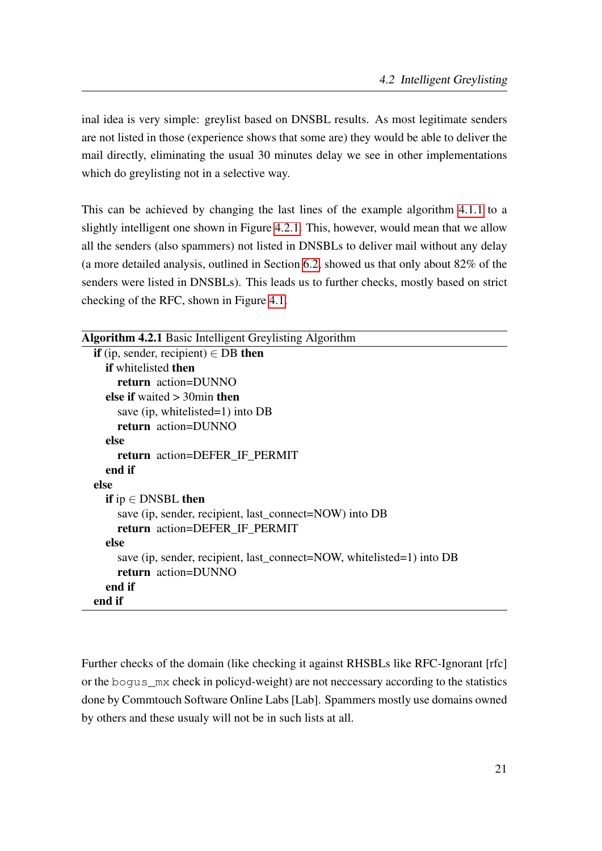inal idea is very simple: greylist based on DNSBL results. As most legitimate senders are not listed in those (experience shows that some are) they would be able to deliver the mail directly, eliminating the usual 30 minutes delay we see in other implementations which do greylisting not in a selective way.

This can be achieved by changing the last lines of the example algorithm [4.1.1](#page-33-2) to a slightly intelligent one shown in Figure [4.2.1.](#page-34-0) This, however, would mean that we allow all the senders (also spammers) not listed in DNSBLs to deliver mail without any delay (a more detailed analysis, outlined in Section [6.2,](#page-47-0) showed us that only about 82% of the senders were listed in DNSBLs). This leads us to further checks, mostly based on strict checking of the RFC, shown in Figure [4.1.](#page-35-0)

```
Algorithm 4.2.1 Basic Intelligent Greylisting Algorithm
  if (ip, sender, recipient) \in DB then
    if whitelisted then
      return action=DUNNO
    else if waited > 30min then
      save (ip, whitelisted=1) into DB
      return action=DUNNO
    else
      return action=DEFER_IF_PERMIT
    end if
  else
    if ip \in DNSBL then
      save (ip, sender, recipient, last_connect=NOW) into DB
      return action=DEFER_IF_PERMIT
    else
      save (ip, sender, recipient, last_connect=NOW, whitelisted=1) into DB
      return action=DUNNO
    end if
  end if
```
Further checks of the domain (like checking it against RHSBLs like RFC-Ignorant [rfc] or the bogus\_mx check in policyd-weight) are not neccessary according to the statistics done by Commtouch Software Online Labs [Lab]. Spammers mostly use domains owned by others and these usualy will not be in such lists at all.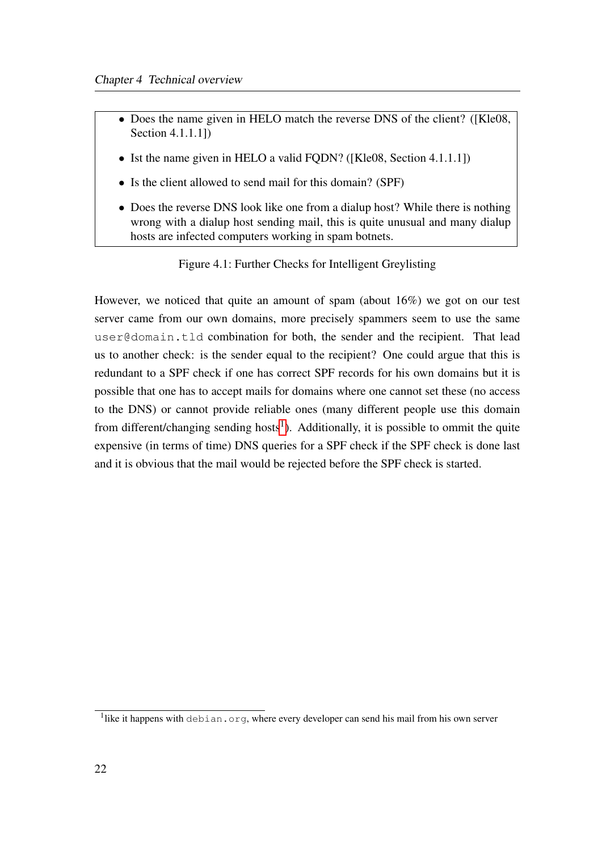- Does the name given in HELO match the reverse DNS of the client? ([Kle08, Section 4.1.1.1])
- Ist the name given in HELO a valid FQDN? ([Kle08, Section 4.1.1.1])
- Is the client allowed to send mail for this domain? (SPF)
- Does the reverse DNS look like one from a dialup host? While there is nothing wrong with a dialup host sending mail, this is quite unusual and many dialup hosts are infected computers working in spam botnets.

<span id="page-35-0"></span>Figure 4.1: Further Checks for Intelligent Greylisting

However, we noticed that quite an amount of spam (about 16%) we got on our test server came from our own domains, more precisely spammers seem to use the same user@domain.tld combination for both, the sender and the recipient. That lead us to another check: is the sender equal to the recipient? One could argue that this is redundant to a SPF check if one has correct SPF records for his own domains but it is possible that one has to accept mails for domains where one cannot set these (no access to the DNS) or cannot provide reliable ones (many different people use this domain from different/changing sending hosts<sup>[1](#page-35-1)</sup>). Additionally, it is possible to ommit the quite expensive (in terms of time) DNS queries for a SPF check if the SPF check is done last and it is obvious that the mail would be rejected before the SPF check is started.

<span id="page-35-1"></span><sup>&</sup>lt;sup>1</sup>like it happens with debian.org, where every developer can send his mail from his own server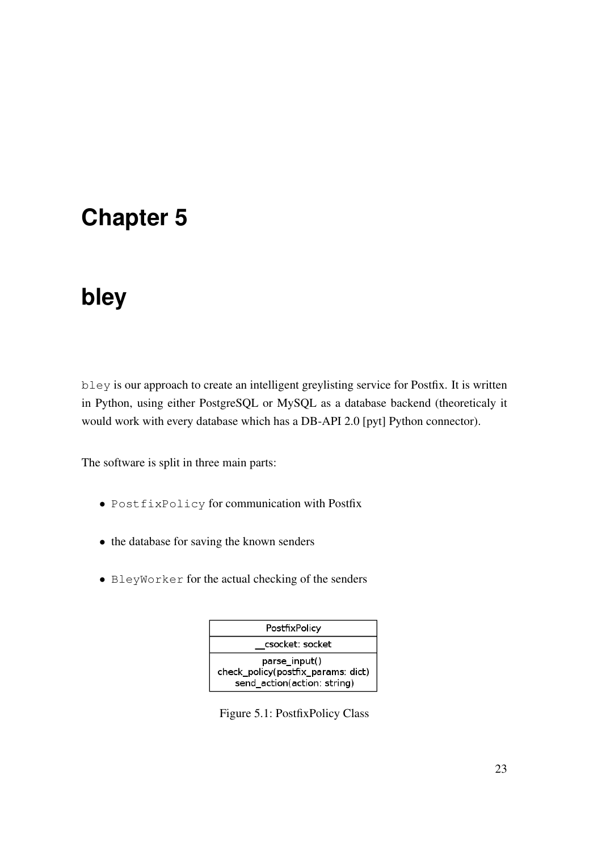## <span id="page-36-0"></span>**Chapter 5**

# **bley**

bley is our approach to create an intelligent greylisting service for Postfix. It is written in Python, using either PostgreSQL or MySQL as a database backend (theoreticaly it would work with every database which has a DB-API 2.0 [pyt] Python connector).

The software is split in three main parts:

- PostfixPolicy for communication with Postfix
- the database for saving the known senders
- BleyWorker for the actual checking of the senders



<span id="page-36-1"></span>Figure 5.1: PostfixPolicy Class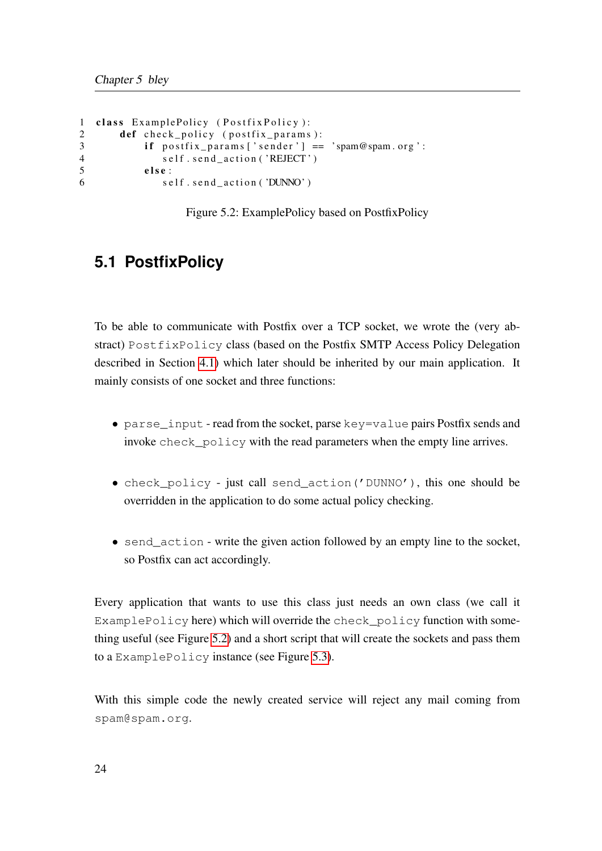```
1 class ExamplePolicy (PostfixPolicy):
2 def check_policy (postfix_params):
3 if postfix_params ['sender'] == 'spam@spam.org':
4 self.send_action('REJECT')
5 else:
6 self.send_action('DUNNO')
```
Figure 5.2: ExamplePolicy based on PostfixPolicy

### <span id="page-37-1"></span><span id="page-37-0"></span>**5.1 PostfixPolicy**

To be able to communicate with Postfix over a TCP socket, we wrote the (very abstract) PostfixPolicy class (based on the Postfix SMTP Access Policy Delegation described in Section [4.1\)](#page-32-1) which later should be inherited by our main application. It mainly consists of one socket and three functions:

- parse\_input read from the socket, parse key=value pairs Postfix sends and invoke check\_policy with the read parameters when the empty line arrives.
- check\_policy just call send\_action('DUNNO'), this one should be overridden in the application to do some actual policy checking.
- send\_action write the given action followed by an empty line to the socket, so Postfix can act accordingly.

Every application that wants to use this class just needs an own class (we call it ExamplePolicy here) which will override the check\_policy function with something useful (see Figure [5.2\)](#page-37-1) and a short script that will create the sockets and pass them to a ExamplePolicy instance (see Figure [5.3\)](#page-38-2).

With this simple code the newly created service will reject any mail coming from spam@spam.org.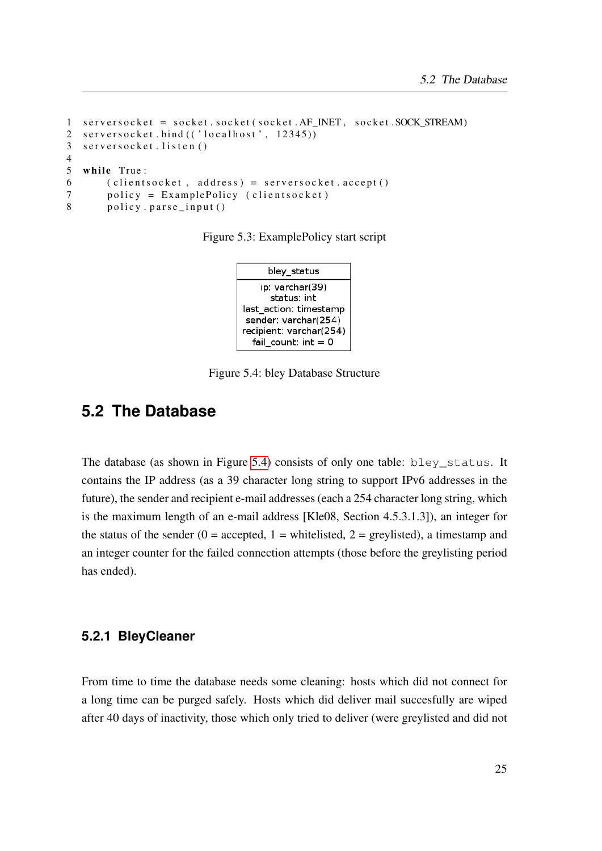```
1 serversocket = socket.socket(socket.AF_INET, socket.SOCK_STREAM)
2 serversocket.bind (('localhost', 12345))
3 serversocket.listen()
4
5 while True:
6 ( clients ocket, address) = servers ocket. accept ()
7 policy = ExamplePolicy (clientsocket)
8 policy . parse input ()
```
Figure 5.3: ExamplePolicy start script

<span id="page-38-3"></span>

Figure 5.4: bley Database Structure

### <span id="page-38-0"></span>**5.2 The Database**

The database (as shown in Figure [5.4\)](#page-38-3) consists of only one table: bley\_status. It contains the IP address (as a 39 character long string to support IPv6 addresses in the future), the sender and recipient e-mail addresses (each a 254 character long string, which is the maximum length of an e-mail address [Kle08, Section 4.5.3.1.3]), an integer for the status of the sender ( $0 =$  accepted,  $1 =$  whitelisted,  $2 =$  greylisted), a timestamp and an integer counter for the failed connection attempts (those before the greylisting period has ended).

#### <span id="page-38-1"></span>**5.2.1 BleyCleaner**

From time to time the database needs some cleaning: hosts which did not connect for a long time can be purged safely. Hosts which did deliver mail succesfully are wiped after 40 days of inactivity, those which only tried to deliver (were greylisted and did not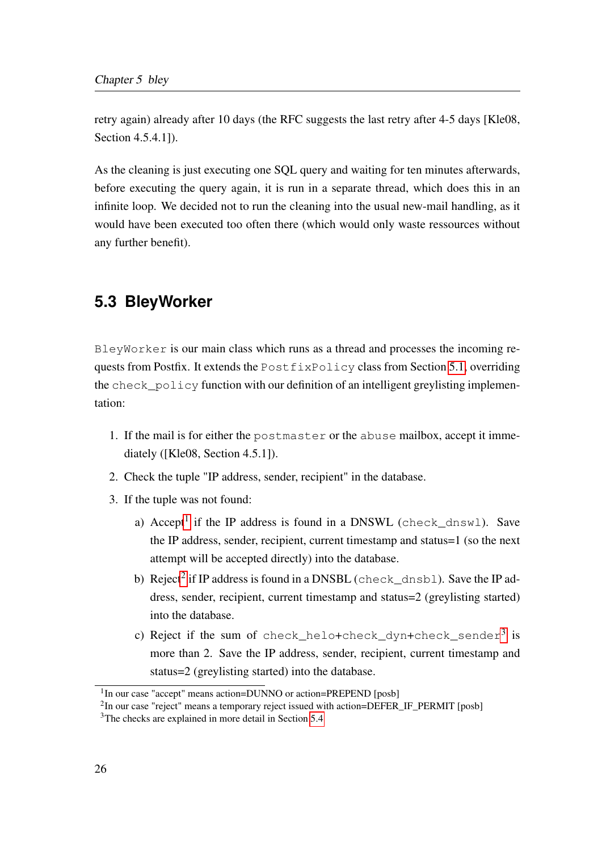retry again) already after 10 days (the RFC suggests the last retry after 4-5 days [Kle08, Section 4.5.4.1]).

As the cleaning is just executing one SQL query and waiting for ten minutes afterwards, before executing the query again, it is run in a separate thread, which does this in an infinite loop. We decided not to run the cleaning into the usual new-mail handling, as it would have been executed too often there (which would only waste ressources without any further benefit).

### <span id="page-39-0"></span>**5.3 BleyWorker**

BleyWorker is our main class which runs as a thread and processes the incoming requests from Postfix. It extends the PostfixPolicy class from Section [5.1,](#page-37-0) overriding the check  $policy$  function with our definition of an intelligent greylisting implementation:

- 1. If the mail is for either the postmaster or the abuse mailbox, accept it immediately ([Kle08, Section 4.5.1]).
- 2. Check the tuple "IP address, sender, recipient" in the database.
- 3. If the tuple was not found:
	- a) Accept<sup>[1](#page-39-1)</sup> if the IP address is found in a DNSWL (check\_dnswl). Save the IP address, sender, recipient, current timestamp and status=1 (so the next attempt will be accepted directly) into the database.
	- b) Reject<sup>[2](#page-39-2)</sup> if IP address is found in a DNSBL (check\_dnsbl). Save the IP address, sender, recipient, current timestamp and status=2 (greylisting started) into the database.
	- c) Reject if the sum of <code>check\_helo+check\_dyn+check\_sender $^3$  $^3$  is</code> more than 2. Save the IP address, sender, recipient, current timestamp and status=2 (greylisting started) into the database.

<span id="page-39-1"></span><sup>&</sup>lt;sup>1</sup>In our case "accept" means action=DUNNO or action=PREPEND [posb]

<span id="page-39-2"></span> $2$ In our case "reject" means a temporary reject issued with action=DEFER\_IF\_PERMIT [posb]

<span id="page-39-3"></span><sup>3</sup>The checks are explained in more detail in Section [5.4](#page-42-0)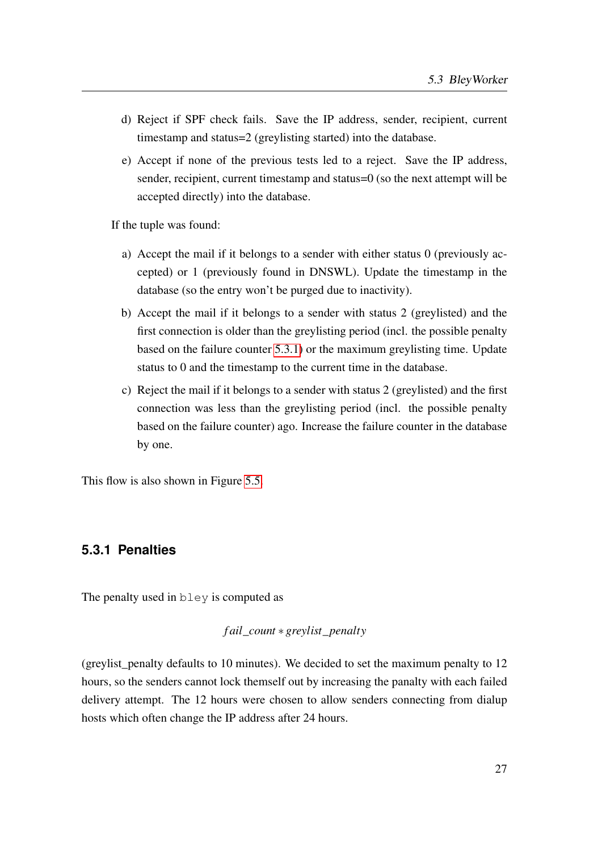- d) Reject if SPF check fails. Save the IP address, sender, recipient, current timestamp and status=2 (greylisting started) into the database.
- e) Accept if none of the previous tests led to a reject. Save the IP address, sender, recipient, current timestamp and status=0 (so the next attempt will be accepted directly) into the database.

If the tuple was found:

- a) Accept the mail if it belongs to a sender with either status 0 (previously accepted) or 1 (previously found in DNSWL). Update the timestamp in the database (so the entry won't be purged due to inactivity).
- b) Accept the mail if it belongs to a sender with status 2 (greylisted) and the first connection is older than the greylisting period (incl. the possible penalty based on the failure counter [5.3.1\)](#page-40-0) or the maximum greylisting time. Update status to 0 and the timestamp to the current time in the database.
- c) Reject the mail if it belongs to a sender with status 2 (greylisted) and the first connection was less than the greylisting period (incl. the possible penalty based on the failure counter) ago. Increase the failure counter in the database by one.

This flow is also shown in Figure [5.5.](#page-41-0)

### <span id="page-40-0"></span>**5.3.1 Penalties**

The penalty used in bley is computed as

#### *f ail*\_*count* ∗ *greylist*\_*penalty*

(greylist\_penalty defaults to 10 minutes). We decided to set the maximum penalty to 12 hours, so the senders cannot lock themself out by increasing the panalty with each failed delivery attempt. The 12 hours were chosen to allow senders connecting from dialup hosts which often change the IP address after 24 hours.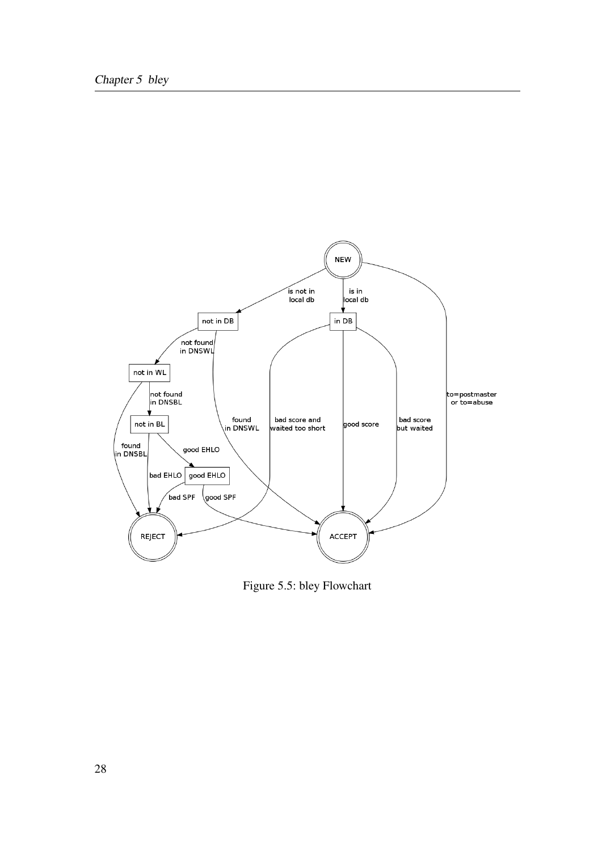

<span id="page-41-0"></span>Figure 5.5: bley Flowchart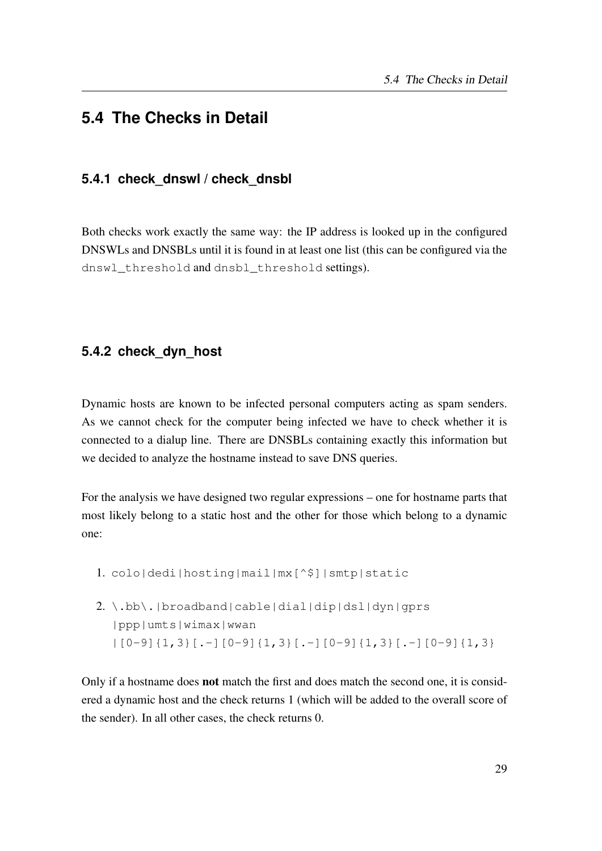### <span id="page-42-1"></span><span id="page-42-0"></span>**5.4 The Checks in Detail**

#### **5.4.1 check\_dnswl / check\_dnsbl**

Both checks work exactly the same way: the IP address is looked up in the configured DNSWLs and DNSBLs until it is found in at least one list (this can be configured via the dnswl\_threshold and dnsbl\_threshold settings).

### <span id="page-42-2"></span>**5.4.2 check\_dyn\_host**

Dynamic hosts are known to be infected personal computers acting as spam senders. As we cannot check for the computer being infected we have to check whether it is connected to a dialup line. There are DNSBLs containing exactly this information but we decided to analyze the hostname instead to save DNS queries.

For the analysis we have designed two regular expressions – one for hostname parts that most likely belong to a static host and the other for those which belong to a dynamic one:

- 1. colo|dedi|hosting|mail|mx[^\$]|smtp|static
- 2. \.bb\.|broadband|cable|dial|dip|dsl|dyn|gprs |ppp|umts|wimax|wwan  $[0-9]{1,3}[. -] [0-9]{1,3}[. -] [0-9]{1,3}[. -] [0-9]{1,3}[. -]$

Only if a hostname does not match the first and does match the second one, it is considered a dynamic host and the check returns 1 (which will be added to the overall score of the sender). In all other cases, the check returns 0.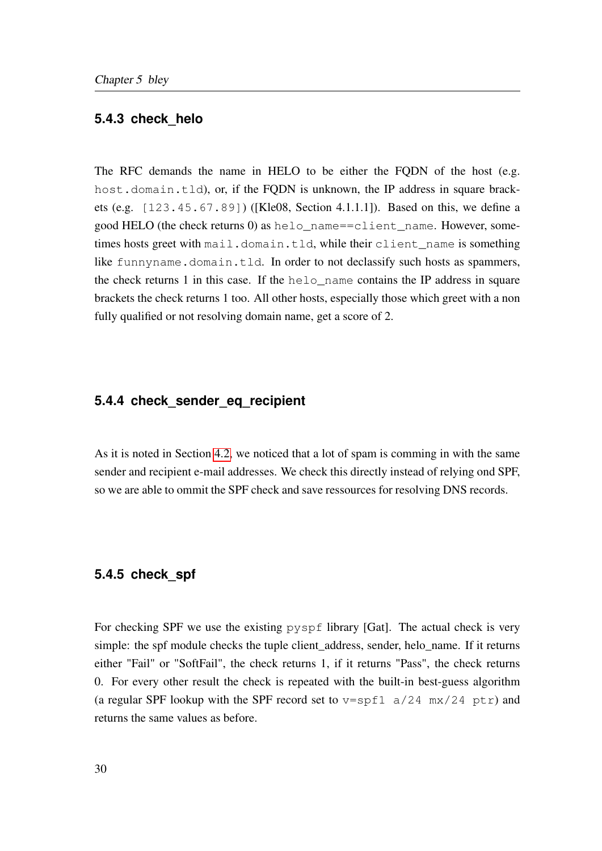#### <span id="page-43-0"></span>**5.4.3 check\_helo**

The RFC demands the name in HELO to be either the FQDN of the host (e.g. host.domain.tld), or, if the FQDN is unknown, the IP address in square brackets (e.g. [123.45.67.89]) ([Kle08, Section 4.1.1.1]). Based on this, we define a good HELO (the check returns 0) as helo\_name==client\_name. However, sometimes hosts greet with mail.domain.tld, while their client\_name is something like funnyname.domain.tld. In order to not declassify such hosts as spammers, the check returns 1 in this case. If the helo\_name contains the IP address in square brackets the check returns 1 too. All other hosts, especially those which greet with a non fully qualified or not resolving domain name, get a score of 2.

#### <span id="page-43-1"></span>**5.4.4 check\_sender\_eq\_recipient**

As it is noted in Section [4.2,](#page-33-0) we noticed that a lot of spam is comming in with the same sender and recipient e-mail addresses. We check this directly instead of relying ond SPF, so we are able to ommit the SPF check and save ressources for resolving DNS records.

#### <span id="page-43-2"></span>**5.4.5 check\_spf**

For checking SPF we use the existing pyspf library [Gat]. The actual check is very simple: the spf module checks the tuple client\_address, sender, helo\_name. If it returns either "Fail" or "SoftFail", the check returns 1, if it returns "Pass", the check returns 0. For every other result the check is repeated with the built-in best-guess algorithm (a regular SPF lookup with the SPF record set to  $v=$ spf1 a/24 mx/24 ptr) and returns the same values as before.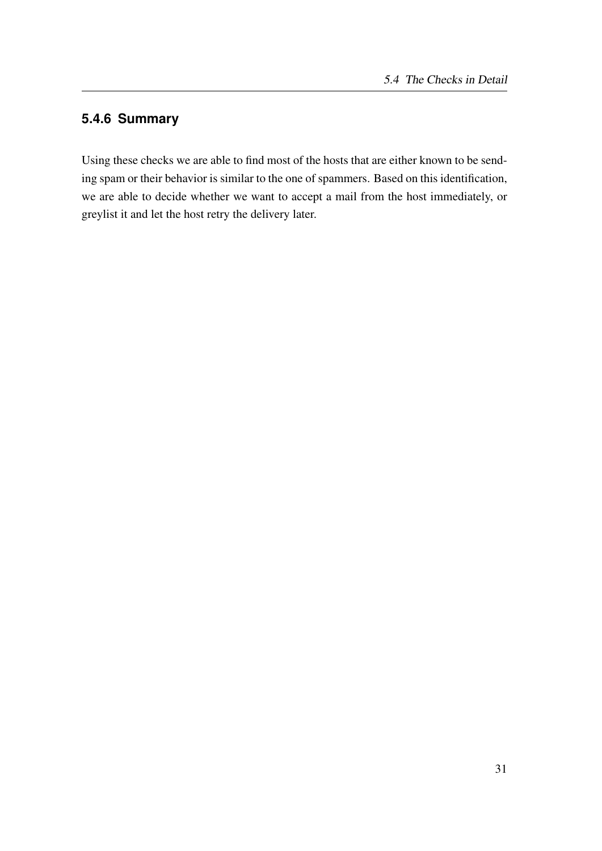### <span id="page-44-0"></span>**5.4.6 Summary**

Using these checks we are able to find most of the hosts that are either known to be sending spam or their behavior is similar to the one of spammers. Based on this identification, we are able to decide whether we want to accept a mail from the host immediately, or greylist it and let the host retry the delivery later.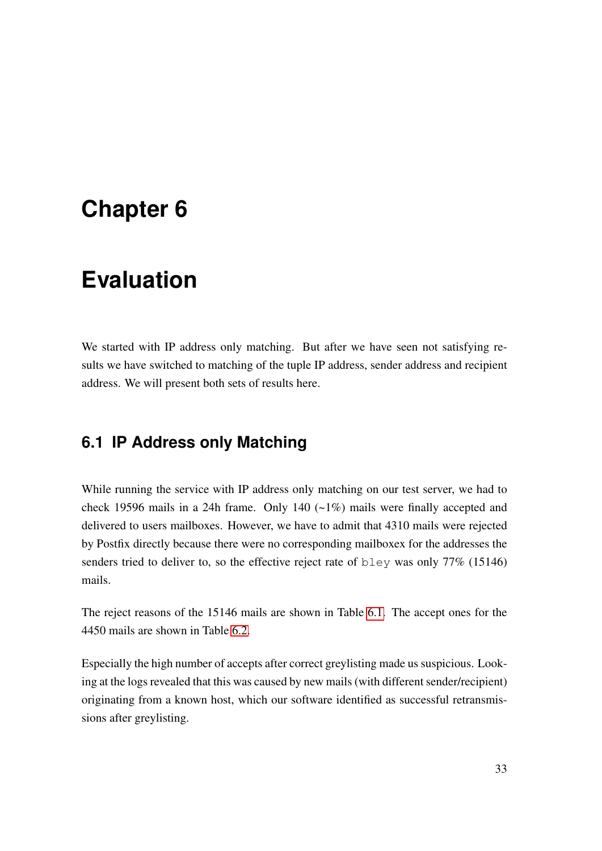## <span id="page-46-0"></span>**Chapter 6**

## **Evaluation**

We started with IP address only matching. But after we have seen not satisfying results we have switched to matching of the tuple IP address, sender address and recipient address. We will present both sets of results here.

### <span id="page-46-1"></span>**6.1 IP Address only Matching**

While running the service with IP address only matching on our test server, we had to check 19596 mails in a 24h frame. Only 140 (~1%) mails were finally accepted and delivered to users mailboxes. However, we have to admit that 4310 mails were rejected by Postfix directly because there were no corresponding mailboxex for the addresses the senders tried to deliver to, so the effective reject rate of bley was only 77% (15146) mails.

The reject reasons of the 15146 mails are shown in Table [6.1.](#page-47-1) The accept ones for the 4450 mails are shown in Table [6.2.](#page-47-2)

Especially the high number of accepts after correct greylisting made us suspicious. Looking at the logs revealed that this was caused by new mails (with different sender/recipient) originating from a known host, which our software identified as successful retransmissions after greylisting.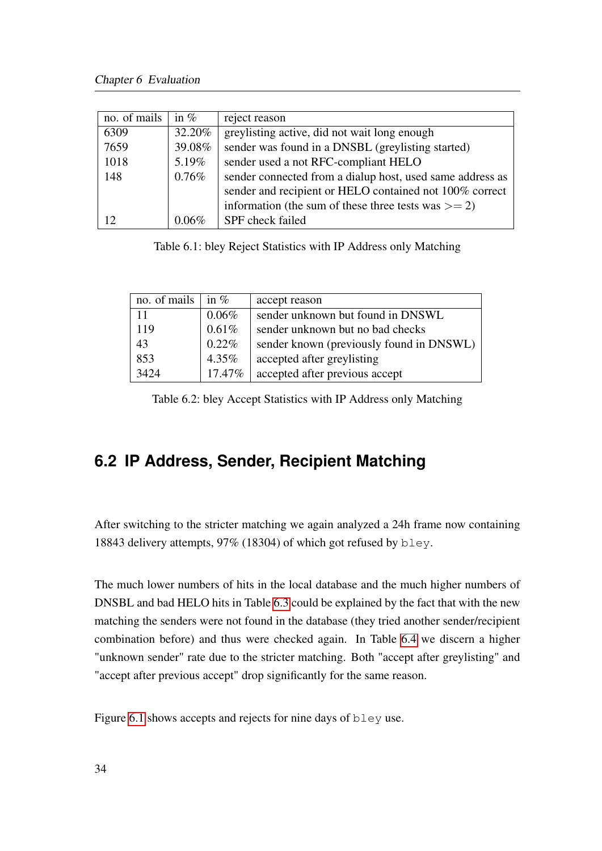| no. of mails | in $%$   | reject reason                                             |
|--------------|----------|-----------------------------------------------------------|
| 6309         | 32.20%   | greylisting active, did not wait long enough              |
| 7659         | 39.08%   | sender was found in a DNSBL (greylisting started)         |
| 1018         | 5.19%    | sender used a not RFC-compliant HELO                      |
| 148          | $0.76\%$ | sender connected from a dialup host, used same address as |
|              |          | sender and recipient or HELO contained not 100% correct   |
|              |          | information (the sum of these three tests was $>= 2$ )    |
| 12           | $0.06\%$ | SPF check failed                                          |

<span id="page-47-1"></span>Table 6.1: bley Reject Statistics with IP Address only Matching

| no. of mails | in $\%$   | accept reason                            |
|--------------|-----------|------------------------------------------|
| 11           | $0.06\%$  | sender unknown but found in DNSWL        |
| 119          | 0.61%     | sender unknown but no bad checks         |
| 43           | 0.22%     | sender known (previously found in DNSWL) |
| 853          | 4.35%     | accepted after greylisting               |
| 3424         | $17.47\%$ | accepted after previous accept           |

<span id="page-47-2"></span>Table 6.2: bley Accept Statistics with IP Address only Matching

## <span id="page-47-0"></span>**6.2 IP Address, Sender, Recipient Matching**

After switching to the stricter matching we again analyzed a 24h frame now containing 18843 delivery attempts, 97% (18304) of which got refused by bley.

The much lower numbers of hits in the local database and the much higher numbers of DNSBL and bad HELO hits in Table [6.3](#page-48-1) could be explained by the fact that with the new matching the senders were not found in the database (they tried another sender/recipient combination before) and thus were checked again. In Table [6.4](#page-48-2) we discern a higher "unknown sender" rate due to the stricter matching. Both "accept after greylisting" and "accept after previous accept" drop significantly for the same reason.

Figure [6.1](#page-48-0) shows accepts and rejects for nine days of bley use.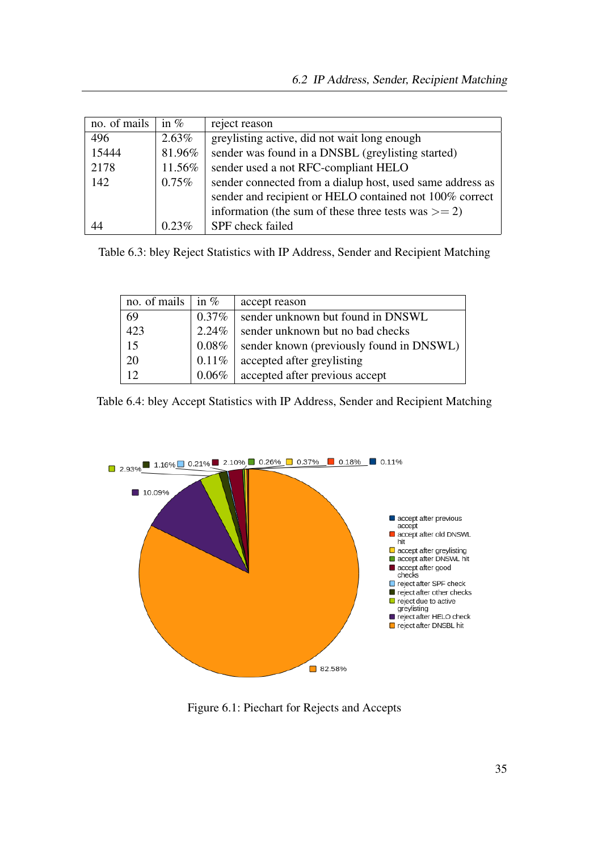| no. of mails | in $%$   | reject reason                                             |
|--------------|----------|-----------------------------------------------------------|
| 496          | $2.63\%$ | greylisting active, did not wait long enough              |
| 15444        | 81.96%   | sender was found in a DNSBL (greylisting started)         |
| 2178         | 11.56%   | sender used a not RFC-compliant HELO                      |
| 142          | $0.75\%$ | sender connected from a dialup host, used same address as |
|              |          | sender and recipient or HELO contained not 100% correct   |
|              |          | information (the sum of these three tests was $>= 2$ )    |
| 44           | $0.23\%$ | SPF check failed                                          |

Table 6.3: bley Reject Statistics with IP Address, Sender and Recipient Matching

<span id="page-48-2"></span><span id="page-48-1"></span>

| no. of mails | in $\%$  | accept reason                            |
|--------------|----------|------------------------------------------|
| 69           | $0.37\%$ | sender unknown but found in DNSWL        |
| 423          | 2.24%    | sender unknown but no bad checks         |
| 15           | 0.08%    | sender known (previously found in DNSWL) |
| 20           | 0.11%    | accepted after greylisting               |
| 12           | $0.06\%$ | accepted after previous accept           |

Table 6.4: bley Accept Statistics with IP Address, Sender and Recipient Matching



<span id="page-48-0"></span>Figure 6.1: Piechart for Rejects and Accepts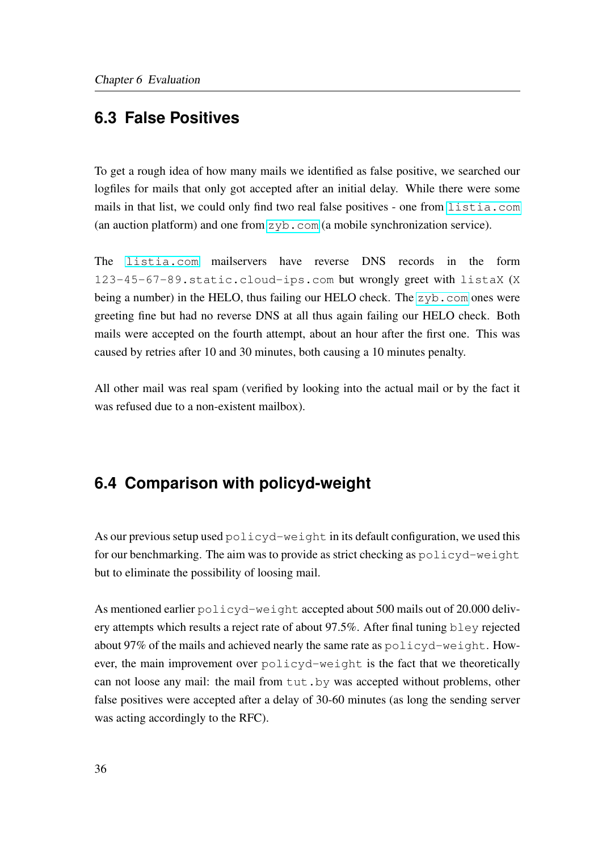### <span id="page-49-0"></span>**6.3 False Positives**

To get a rough idea of how many mails we identified as false positive, we searched our logfiles for mails that only got accepted after an initial delay. While there were some mails in that list, we could only find two real false positives - one from <listia.com> (an auction platform) and one from <zyb.com> (a mobile synchronization service).

The <listia.com> mailservers have reverse DNS records in the form 123-45-67-89.static.cloud-ips.com but wrongly greet with listaX (X being a number) in the HELO, thus failing our HELO check. The <zyb.com> ones were greeting fine but had no reverse DNS at all thus again failing our HELO check. Both mails were accepted on the fourth attempt, about an hour after the first one. This was caused by retries after 10 and 30 minutes, both causing a 10 minutes penalty.

All other mail was real spam (verified by looking into the actual mail or by the fact it was refused due to a non-existent mailbox).

### <span id="page-49-1"></span>**6.4 Comparison with policyd-weight**

As our previous setup used  $p^{\text{old-vd-weight}}$  in its default configuration, we used this for our benchmarking. The aim was to provide as strict checking as policyd-weight but to eliminate the possibility of loosing mail.

As mentioned earlier policyd-weight accepted about 500 mails out of 20.000 delivery attempts which results a reject rate of about 97.5%. After final tuning bley rejected about 97% of the mails and achieved nearly the same rate as policyd-weight. However, the main improvement over policyd-weight is the fact that we theoretically can not loose any mail: the mail from tut.by was accepted without problems, other false positives were accepted after a delay of 30-60 minutes (as long the sending server was acting accordingly to the RFC).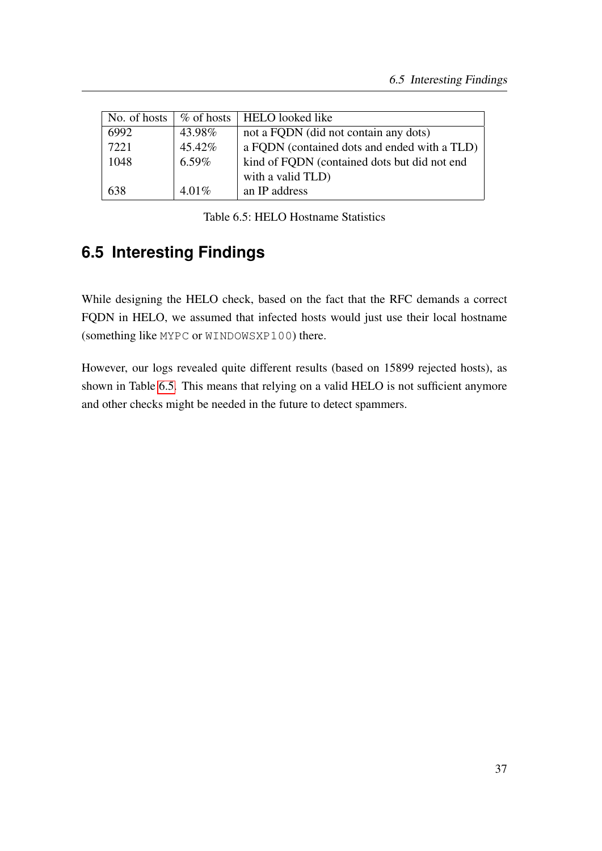| No. of hosts | $\%$ of hosts $\parallel$ | HELO looked like                             |
|--------------|---------------------------|----------------------------------------------|
| 6992         | 43.98%                    | not a FQDN (did not contain any dots)        |
| 7221         | 45.42%                    | a FQDN (contained dots and ended with a TLD) |
| 1048         | $6.59\%$                  | kind of FQDN (contained dots but did not end |
|              |                           | with a valid TLD)                            |
| 638          | $4.01\%$                  | an IP address                                |

<span id="page-50-1"></span>Table 6.5: HELO Hostname Statistics

## <span id="page-50-0"></span>**6.5 Interesting Findings**

While designing the HELO check, based on the fact that the RFC demands a correct FQDN in HELO, we assumed that infected hosts would just use their local hostname (something like MYPC or WINDOWSXP100) there.

However, our logs revealed quite different results (based on 15899 rejected hosts), as shown in Table [6.5.](#page-50-1) This means that relying on a valid HELO is not sufficient anymore and other checks might be needed in the future to detect spammers.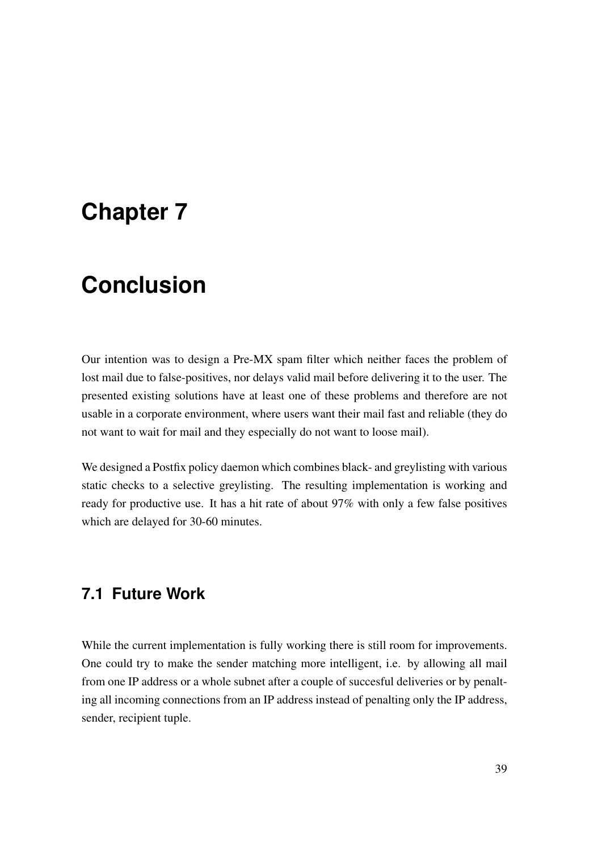## <span id="page-52-0"></span>**Chapter 7**

## **Conclusion**

Our intention was to design a Pre-MX spam filter which neither faces the problem of lost mail due to false-positives, nor delays valid mail before delivering it to the user. The presented existing solutions have at least one of these problems and therefore are not usable in a corporate environment, where users want their mail fast and reliable (they do not want to wait for mail and they especially do not want to loose mail).

We designed a Postfix policy daemon which combines black- and greylisting with various static checks to a selective greylisting. The resulting implementation is working and ready for productive use. It has a hit rate of about 97% with only a few false positives which are delayed for 30-60 minutes.

### <span id="page-52-1"></span>**7.1 Future Work**

While the current implementation is fully working there is still room for improvements. One could try to make the sender matching more intelligent, i.e. by allowing all mail from one IP address or a whole subnet after a couple of succesful deliveries or by penalting all incoming connections from an IP address instead of penalting only the IP address, sender, recipient tuple.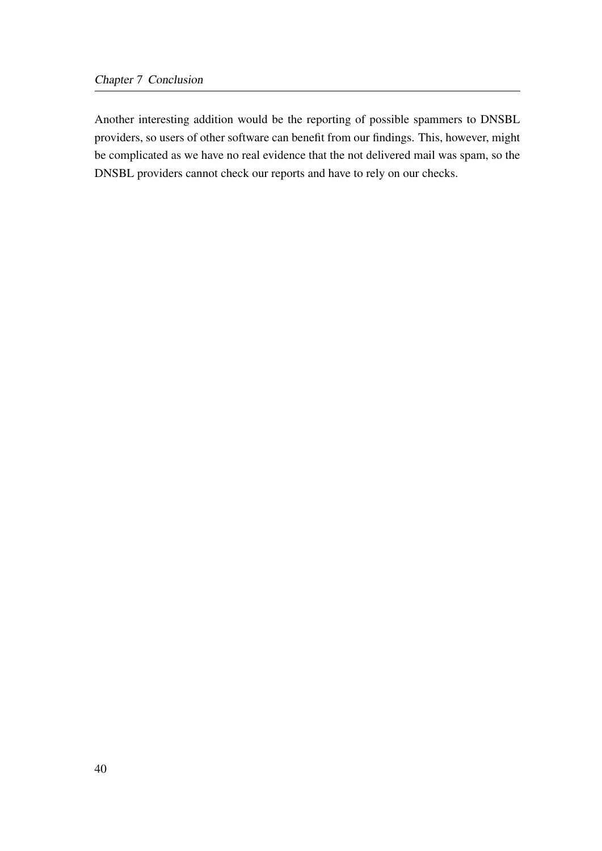Another interesting addition would be the reporting of possible spammers to DNSBL providers, so users of other software can benefit from our findings. This, however, might be complicated as we have no real evidence that the not delivered mail was spam, so the DNSBL providers cannot check our reports and have to rely on our checks.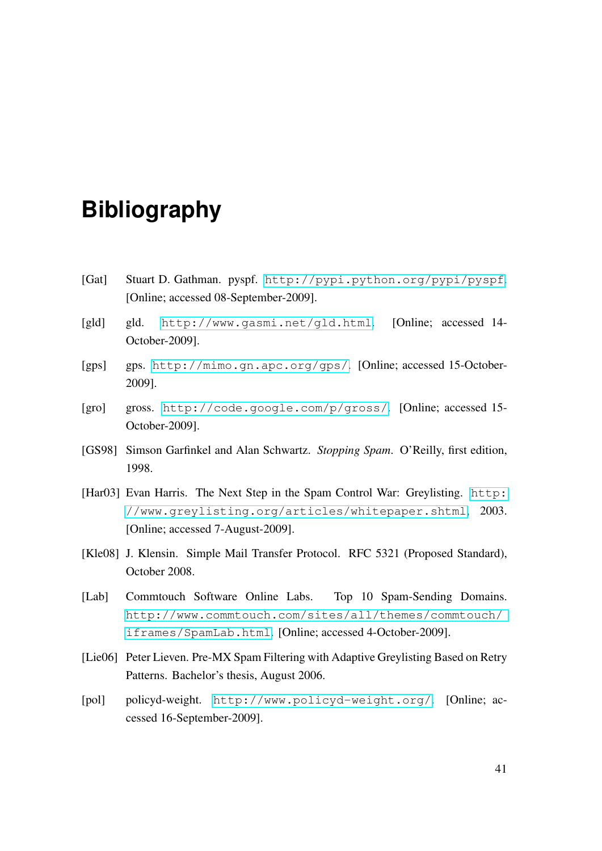## **Bibliography**

- <span id="page-54-0"></span>[Gat] Stuart D. Gathman. pyspf. <http://pypi.python.org/pypi/pyspf>. [Online; accessed 08-September-2009].
- [gld] gld. <http://www.gasmi.net/gld.html>. [Online; accessed 14- October-2009].
- [gps] gps. <http://mimo.gn.apc.org/gps/>. [Online; accessed 15-October-2009].
- [gro] gross. <http://code.google.com/p/gross/>. [Online; accessed 15- October-2009].
- [GS98] Simson Garfinkel and Alan Schwartz. *Stopping Spam*. O'Reilly, first edition, 1998.
- [Har03] Evan Harris. The Next Step in the Spam Control War: Greylisting. [http:](http://www.greylisting.org/articles/whitepaper.shtml) [//www.greylisting.org/articles/whitepaper.shtml](http://www.greylisting.org/articles/whitepaper.shtml), 2003. [Online; accessed 7-August-2009].
- [Kle08] J. Klensin. Simple Mail Transfer Protocol. RFC 5321 (Proposed Standard), October 2008.
- [Lab] Commtouch Software Online Labs. Top 10 Spam-Sending Domains. [http://www.commtouch.com/sites/all/themes/commtouch/](http://www.commtouch.com/sites/all/themes/commtouch/iframes/SpamLab.html) [iframes/SpamLab.html](http://www.commtouch.com/sites/all/themes/commtouch/iframes/SpamLab.html). [Online; accessed 4-October-2009].
- [Lie06] Peter Lieven. Pre-MX Spam Filtering with Adaptive Greylisting Based on Retry Patterns. Bachelor's thesis, August 2006.
- [pol] policyd-weight. <http://www.policyd-weight.org/>. [Online; accessed 16-September-2009].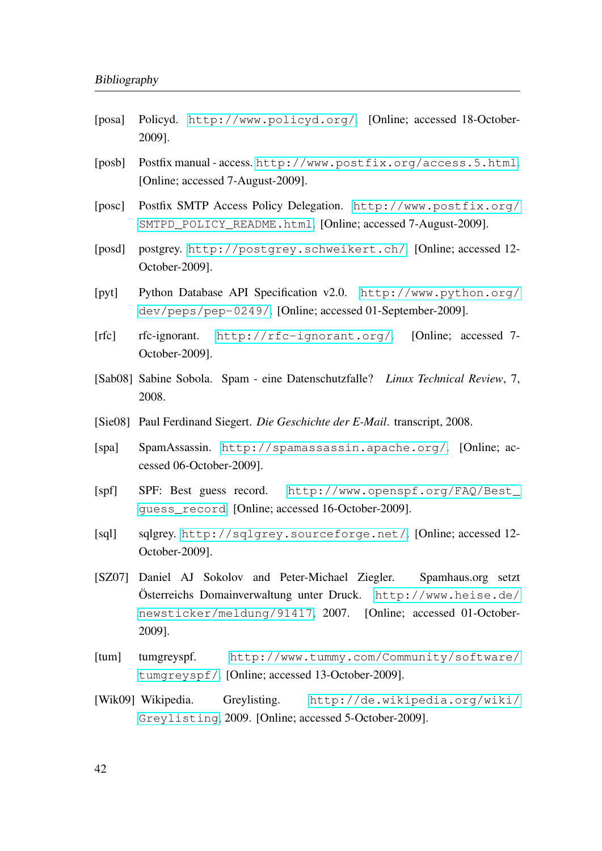- [posa] Policyd. <http://www.policyd.org/>. [Online; accessed 18-October-2009].
- [posb] Postfix manual access. <http://www.postfix.org/access.5.html>. [Online; accessed 7-August-2009].
- [posc] Postfix SMTP Access Policy Delegation. [http://www.postfix.org/](http://www.postfix.org/SMTPD_POLICY_README.html) [SMTPD\\_POLICY\\_README.html](http://www.postfix.org/SMTPD_POLICY_README.html). [Online; accessed 7-August-2009].
- [posd] postgrey. <http://postgrey.schweikert.ch/>. [Online; accessed 12- October-2009].
- [pyt] Python Database API Specification v2.0. [http://www.python.org/](http://www.python.org/dev/peps/pep-0249/) [dev/peps/pep-0249/](http://www.python.org/dev/peps/pep-0249/). [Online; accessed 01-September-2009].
- [rfc] rfc-ignorant. <http://rfc-ignorant.org/>. [Online; accessed 7- October-2009].
- [Sab08] Sabine Sobola. Spam eine Datenschutzfalle? *Linux Technical Review*, 7, 2008.
- [Sie08] Paul Ferdinand Siegert. *Die Geschichte der E-Mail*. transcript, 2008.
- [spa] SpamAssassin. <http://spamassassin.apache.org/>. [Online; accessed 06-October-2009].
- [spf] SPF: Best guess record. [http://www.openspf.org/FAQ/Best\\_](http://www.openspf.org/FAQ/Best_guess_record) [guess\\_record](http://www.openspf.org/FAQ/Best_guess_record). [Online; accessed 16-October-2009].
- [sql] sqlgrey. <http://sqlgrey.sourceforge.net/>. [Online; accessed 12- October-2009].
- [SZ07] Daniel AJ Sokolov and Peter-Michael Ziegler. Spamhaus.org setzt Österreichs Domainverwaltung unter Druck. [http://www.heise.de/](http://www.heise.de/newsticker/meldung/91417) [newsticker/meldung/91417](http://www.heise.de/newsticker/meldung/91417), 2007. [Online; accessed 01-October-2009].
- [tum] tumgreyspf. [http://www.tummy.com/Community/software/](http://www.tummy.com/Community/software/tumgreyspf/) [tumgreyspf/](http://www.tummy.com/Community/software/tumgreyspf/). [Online; accessed 13-October-2009].
- [Wik09] Wikipedia. Greylisting. [http://de.wikipedia.org/wiki/](http://de.wikipedia.org/wiki/Greylisting) [Greylisting](http://de.wikipedia.org/wiki/Greylisting), 2009. [Online; accessed 5-October-2009].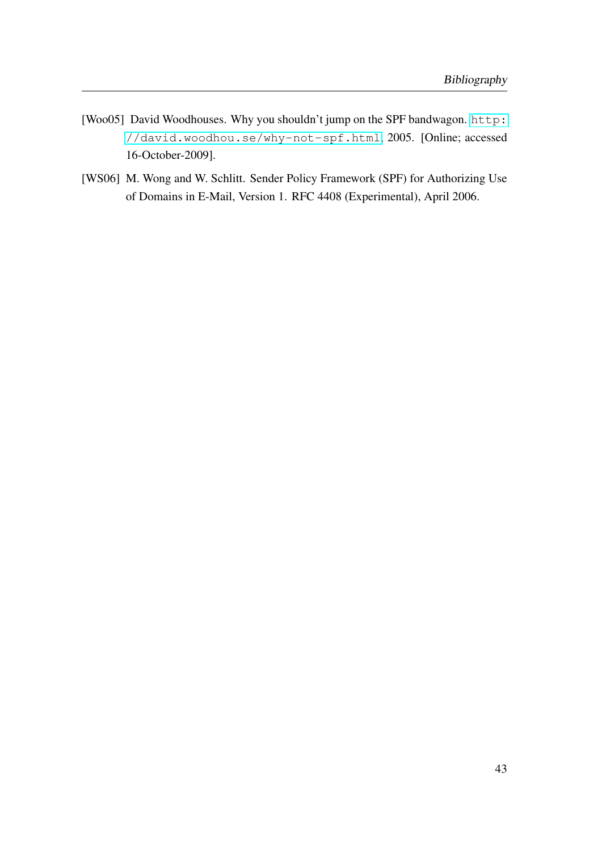- [Woo05] David Woodhouses. Why you shouldn't jump on the SPF bandwagon. [http:](http://david.woodhou.se/why-not-spf.html) [//david.woodhou.se/why-not-spf.html](http://david.woodhou.se/why-not-spf.html), 2005. [Online; accessed 16-October-2009].
- [WS06] M. Wong and W. Schlitt. Sender Policy Framework (SPF) for Authorizing Use of Domains in E-Mail, Version 1. RFC 4408 (Experimental), April 2006.